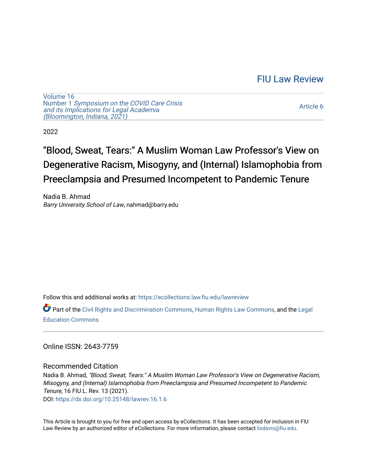# [FIU Law Review](https://ecollections.law.fiu.edu/lawreview)

[Volume 16](https://ecollections.law.fiu.edu/lawreview/vol16) Number 1 [Symposium on the COVID Care Crisis](https://ecollections.law.fiu.edu/lawreview/vol16/iss1) [and its Implications for Legal Academia](https://ecollections.law.fiu.edu/lawreview/vol16/iss1)  [\(Bloomington, Indiana, 2021\)](https://ecollections.law.fiu.edu/lawreview/vol16/iss1)

[Article 6](https://ecollections.law.fiu.edu/lawreview/vol16/iss1/6) 

2022

# "Blood, Sweat, Tears:" A Muslim Woman Law Professor's View on Degenerative Racism, Misogyny, and (Internal) Islamophobia from Preeclampsia and Presumed Incompetent to Pandemic Tenure

Nadia B. Ahmad Barry University School of Law, nahmad@barry.edu

Follow this and additional works at: [https://ecollections.law.fiu.edu/lawreview](https://ecollections.law.fiu.edu/lawreview?utm_source=ecollections.law.fiu.edu%2Flawreview%2Fvol16%2Fiss1%2F6&utm_medium=PDF&utm_campaign=PDFCoverPages)

Part of the [Civil Rights and Discrimination Commons,](https://network.bepress.com/hgg/discipline/585?utm_source=ecollections.law.fiu.edu%2Flawreview%2Fvol16%2Fiss1%2F6&utm_medium=PDF&utm_campaign=PDFCoverPages) [Human Rights Law Commons,](https://network.bepress.com/hgg/discipline/847?utm_source=ecollections.law.fiu.edu%2Flawreview%2Fvol16%2Fiss1%2F6&utm_medium=PDF&utm_campaign=PDFCoverPages) and the [Legal](https://network.bepress.com/hgg/discipline/857?utm_source=ecollections.law.fiu.edu%2Flawreview%2Fvol16%2Fiss1%2F6&utm_medium=PDF&utm_campaign=PDFCoverPages)  [Education Commons](https://network.bepress.com/hgg/discipline/857?utm_source=ecollections.law.fiu.edu%2Flawreview%2Fvol16%2Fiss1%2F6&utm_medium=PDF&utm_campaign=PDFCoverPages) 

Online ISSN: 2643-7759

Recommended Citation Nadia B. Ahmad, "Blood, Sweat, Tears:" A Muslim Woman Law Professor's View on Degenerative Racism, Misogyny, and (Internal) Islamophobia from Preeclampsia and Presumed Incompetent to Pandemic Tenure, 16 FIU L. Rev. 13 (2021). DOI:<https://dx.doi.org/10.25148/lawrev.16.1.6>

This Article is brought to you for free and open access by eCollections. It has been accepted for inclusion in FIU Law Review by an authorized editor of eCollections. For more information, please contact [lisdavis@fiu.edu](mailto:lisdavis@fiu.edu).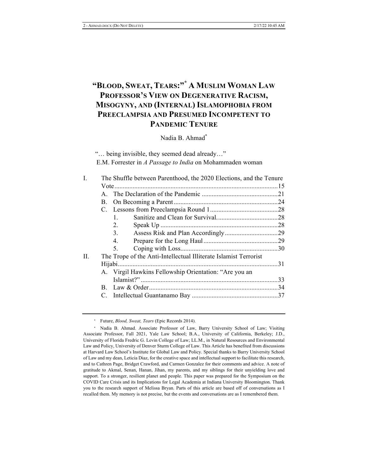# **"BLOOD, SWEAT, TEARS:"\* A MUSLIM WOMAN LAW PROFESSOR'S VIEW ON DEGENERATIVE RACISM, MISOGYNY, AND (INTERNAL) ISLAMOPHOBIA FROM PREECLAMPSIA AND PRESUMED INCOMPETENT TO PANDEMIC TENURE**

Nadia B. Ahmad\*

 "… being invisible, they seemed dead already…" E.M. Forrester in *A Passage to India* on Mohammaden woman

| L       | The Shuffle between Parenthood, the 2020 Elections, and the Tenure |  |  |  |  |
|---------|--------------------------------------------------------------------|--|--|--|--|
|         |                                                                    |  |  |  |  |
|         | A                                                                  |  |  |  |  |
|         |                                                                    |  |  |  |  |
|         |                                                                    |  |  |  |  |
|         | 1.                                                                 |  |  |  |  |
|         | 2.                                                                 |  |  |  |  |
|         | 3 <sub>1</sub>                                                     |  |  |  |  |
|         | $4_{\cdot}$                                                        |  |  |  |  |
|         | 5.                                                                 |  |  |  |  |
| $\Pi$ . | The Trope of the Anti-Intellectual Illiterate Islamist Terrorist   |  |  |  |  |
|         |                                                                    |  |  |  |  |
|         | A. Virgil Hawkins Fellowship Orientation: "Are you an              |  |  |  |  |
|         |                                                                    |  |  |  |  |
|         |                                                                    |  |  |  |  |
|         |                                                                    |  |  |  |  |
|         |                                                                    |  |  |  |  |

<sup>\*</sup> Future, *Blood, Sweat, Tears* (Epic Records 2014).

<sup>\*</sup> Nadia B. Ahmad. Associate Professor of Law, Barry University School of Law; Visiting Associate Professor, Fall 2021, Yale Law School; B.A., University of California, Berkeley; J.D., University of Florida Fredric G. Levin College of Law; LL.M., in Natural Resources and Environmental Law and Policy, University of Denver Sturm College of Law. This Article has benefited from discussions at Harvard Law School's Institute for Global Law and Policy. Special thanks to Barry University School of Law and my dean, Leticia Diaz, for the creative space and intellectual support to facilitate this research, and to Cathren Page, Bridget Crawford, and Carmen Gonzalez for their comments and advice. A note of gratitude to Akmal, Senan, Hanan, Jihan, my parents, and my siblings for their unyielding love and support. To a stronger, resilient planet and people. This paper was prepared for the Symposium on the COVID Care Crisis and its Implications for Legal Academia at Indiana University Bloomington. Thank you to the research support of Melissa Bryan. Parts of this article are based off of conversations as I recalled them. My memory is not precise, but the events and conversations are as I remembered them.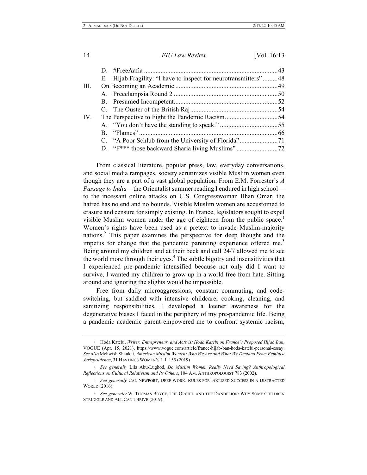|     |  | E. Hijab Fragility: "I have to inspect for neurotransmitters"48 |  |
|-----|--|-----------------------------------------------------------------|--|
| Ш.  |  |                                                                 |  |
|     |  |                                                                 |  |
|     |  |                                                                 |  |
|     |  |                                                                 |  |
| IV. |  |                                                                 |  |
|     |  |                                                                 |  |
|     |  |                                                                 |  |
|     |  |                                                                 |  |
|     |  |                                                                 |  |

From classical literature, popular press, law, everyday conversations, and social media rampages, society scrutinizes visible Muslim women even though they are a part of a vast global population. From E.M. Forrester's *A Passage to India*—the Orientalist summer reading I endured in high school to the incessant online attacks on U.S. Congresswoman Ilhan Omar, the hatred has no end and no bounds. Visible Muslim women are accustomed to erasure and censure for simply existing. In France, legislators sought to expel visible Muslim women under the age of eighteen from the public space.<sup>1</sup> Women's rights have been used as a pretext to invade Muslim-majority nations.<sup>2</sup> This paper examines the perspective for deep thought and the impetus for change that the pandemic parenting experience offered me. $3$ Being around my children and at their beck and call 24/7 allowed me to see the world more through their eyes.<sup>4</sup> The subtle bigotry and insensitivities that I experienced pre-pandemic intensified because not only did I want to survive, I wanted my children to grow up in a world free from hate. Sitting around and ignoring the slights would be impossible.

Free from daily microaggressions, constant commuting, and codeswitching, but saddled with intensive childcare, cooking, cleaning, and sanitizing responsibilities, I developed a keener awareness for the degenerative biases I faced in the periphery of my pre-pandemic life. Being a pandemic academic parent empowered me to confront systemic racism,

<sup>1</sup> Hoda Katebi, *Writer, Entrepreneur, and Activist Hoda Katebi on France's Proposed Hijab Ban*, VOGUE (Apr. 15, 2021), https://www.vogue.com/article/france-hijab-ban-hoda-katebi-personal-essay. *See also* Mehwish Shaukat, *American Muslim Women: Who We Are and What We Demand From Feminist Jurisprudence*, 31 HASTINGS WOMEN'S L.J. 155 (2019)

<sup>2</sup> *See generally* Lila Abu-Lughod, *Do Muslim Women Really Need Saving? Anthropological Reflections on Cultural Relativism and Its Others*, 104 AM. ANTHROPOLOGIST 783 (2002).

<sup>3</sup> *See generally* CAL NEWPORT, DEEP WORK: RULES FOR FOCUSED SUCCESS IN A DISTRACTED WORLD (2016).

<sup>4</sup> *See generally* W. THOMAS BOYCE, THE ORCHID AND THE DANDELION: WHY SOME CHILDREN STRUGGLE AND ALL CAN THRIVE (2019).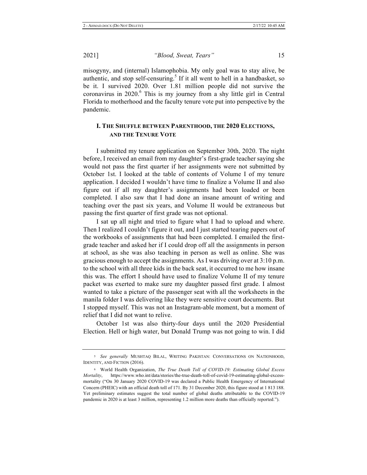misogyny, and (internal) Islamophobia. My only goal was to stay alive, be authentic, and stop self-censuring.<sup>5</sup> If it all went to hell in a handbasket, so be it. I survived 2020. Over 1.81 million people did not survive the  $coronavirus in 2020<sup>6</sup> This is my journey from a sky little girl in Central$ Florida to motherhood and the faculty tenure vote put into perspective by the pandemic.

# **I. THE SHUFFLE BETWEEN PARENTHOOD, THE 2020 ELECTIONS, AND THE TENURE VOTE**

I submitted my tenure application on September 30th, 2020. The night before, I received an email from my daughter's first-grade teacher saying she would not pass the first quarter if her assignments were not submitted by October 1st. I looked at the table of contents of Volume I of my tenure application. I decided I wouldn't have time to finalize a Volume II and also figure out if all my daughter's assignments had been loaded or been completed. I also saw that I had done an insane amount of writing and teaching over the past six years, and Volume II would be extraneous but passing the first quarter of first grade was not optional.

I sat up all night and tried to figure what I had to upload and where. Then I realized I couldn't figure it out, and I just started tearing papers out of the workbooks of assignments that had been completed. I emailed the firstgrade teacher and asked her if I could drop off all the assignments in person at school, as she was also teaching in person as well as online. She was gracious enough to accept the assignments. As I was driving over at 3:10 p.m. to the school with all three kids in the back seat, it occurred to me how insane this was. The effort I should have used to finalize Volume II of my tenure packet was exerted to make sure my daughter passed first grade. I almost wanted to take a picture of the passenger seat with all the worksheets in the manila folder I was delivering like they were sensitive court documents. But I stopped myself. This was not an Instagram-able moment, but a moment of relief that I did not want to relive.

October 1st was also thirty-four days until the 2020 Presidential Election. Hell or high water, but Donald Trump was not going to win. I did

<sup>5</sup> *See generally* MUSHTAQ BILAL, WRITING PAKISTAN: CONVERSATIONS ON NATIONHOOD, IDENTITY, AND FICTION (2016).

<sup>6</sup> World Health Organization, *The True Death Toll of COVID-19: Estimating Global Excess Mortality*, https://www.who.int/data/stories/the-true-death-toll-of-covid-19-estimating-global-excessmortality ("On 30 January 2020 COVID-19 was declared a Public Health Emergency of International Concern (PHEIC) with an official death toll of 171. By 31 December 2020, this figure stood at 1 813 188. Yet preliminary estimates suggest the total number of global deaths attributable to the COVID-19 pandemic in 2020 is at least 3 million, representing 1.2 million more deaths than officially reported.").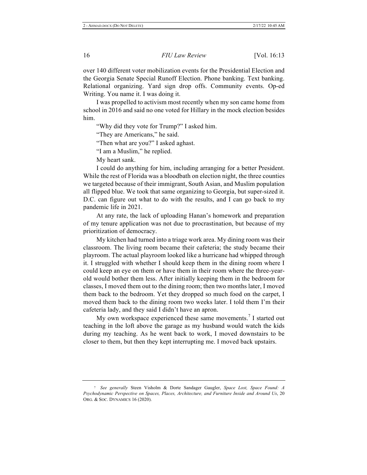over 140 different voter mobilization events for the Presidential Election and the Georgia Senate Special Runoff Election. Phone banking. Text banking. Relational organizing. Yard sign drop offs. Community events. Op-ed Writing. You name it. I was doing it.

I was propelled to activism most recently when my son came home from school in 2016 and said no one voted for Hillary in the mock election besides him.

"Why did they vote for Trump?" I asked him.

"They are Americans," he said.

"Then what are you?" I asked aghast.

"I am a Muslim," he replied.

My heart sank.

I could do anything for him, including arranging for a better President. While the rest of Florida was a bloodbath on election night, the three counties we targeted because of their immigrant, South Asian, and Muslim population all flipped blue. We took that same organizing to Georgia, but super-sized it. D.C. can figure out what to do with the results, and I can go back to my pandemic life in 2021.

At any rate, the lack of uploading Hanan's homework and preparation of my tenure application was not due to procrastination, but because of my prioritization of democracy.

My kitchen had turned into a triage work area. My dining room was their classroom. The living room became their cafeteria; the study became their playroom. The actual playroom looked like a hurricane had whipped through it. I struggled with whether I should keep them in the dining room where I could keep an eye on them or have them in their room where the three-yearold would bother them less. After initially keeping them in the bedroom for classes, I moved them out to the dining room; then two months later, I moved them back to the bedroom. Yet they dropped so much food on the carpet, I moved them back to the dining room two weeks later. I told them I'm their cafeteria lady, and they said I didn't have an apron.

My own workspace experienced these same movements.<sup>7</sup> I started out teaching in the loft above the garage as my husband would watch the kids during my teaching. As he went back to work, I moved downstairs to be closer to them, but then they kept interrupting me. I moved back upstairs.

<sup>7</sup> *See generally* Steen Visholm & Dorte Sandager Gaugler, *Space Lost, Space Found: A Psychodynamic Perspective on Spaces, Places, Architecture, and Furniture Inside and Around Us*, 20 ORG. & SOC. DYNAMICS 16 (2020).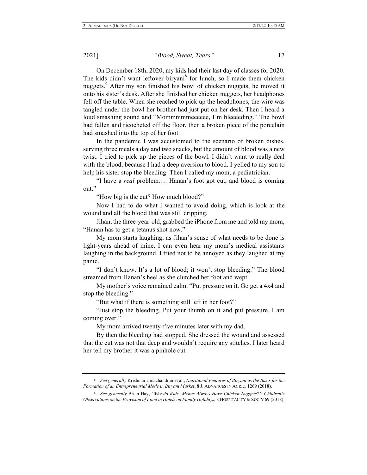On December 18th, 2020, my kids had their last day of classes for 2020. The kids didn't want leftover biryani<sup>8</sup> for lunch, so I made them chicken nuggets.<sup>9</sup> After my son finished his bowl of chicken nuggets, he moved it onto his sister's desk. After she finished her chicken nuggets, her headphones fell off the table. When she reached to pick up the headphones, the wire was tangled under the bowl her brother had just put on her desk. Then I heard a loud smashing sound and "Mommmmmeeeeee, I'm bleeeeding." The bowl had fallen and ricocheted off the floor, then a broken piece of the porcelain had smashed into the top of her foot.

In the pandemic I was accustomed to the scenario of broken dishes, serving three meals a day and two snacks, but the amount of blood was a new twist. I tried to pick up the pieces of the bowl. I didn't want to really deal with the blood, because I had a deep aversion to blood. I yelled to my son to help his sister stop the bleeding. Then I called my mom, a pediatrician.

"I have a *real* problem…. Hanan's foot got cut, and blood is coming out."

"How big is the cut? How much blood?"

Now I had to do what I wanted to avoid doing, which is look at the wound and all the blood that was still dripping.

Jihan, the three-year-old, grabbed the iPhone from me and told my mom, "Hanan has to get a tetanus shot now."

My mom starts laughing, as Jihan's sense of what needs to be done is light-years ahead of mine. I can even hear my mom's medical assistants laughing in the background. I tried not to be annoyed as they laughed at my panic.

"I don't know. It's a lot of blood; it won't stop bleeding." The blood streamed from Hanan's heel as she clutched her foot and wept.

My mother's voice remained calm. "Put pressure on it. Go get a 4x4 and stop the bleeding."

"But what if there is something still left in her foot?"

"Just stop the bleeding. Put your thumb on it and put pressure. I am coming over."

My mom arrived twenty-five minutes later with my dad.

By then the bleeding had stopped. She dressed the wound and assessed that the cut was not that deep and wouldn't require any stitches. I later heard her tell my brother it was a pinhole cut.

<sup>8</sup> *See generally* Krishnan Umachandran et al., *Nutritional Features of Biryani as the Basis for the Formation of an Entrepreneurial Mode in Biryani Market*, 8 J. ADVANCES IN AGRIC. 1269 (2018).

<sup>9</sup> *See generally* Brian Hay, *'Why do Kids' Menus Always Have Chicken Nuggets?': Children's Observations on the Provision of Food in Hotels on Family Holidays*, 8 HOSPITALITY & SOC'Y 69 (2018).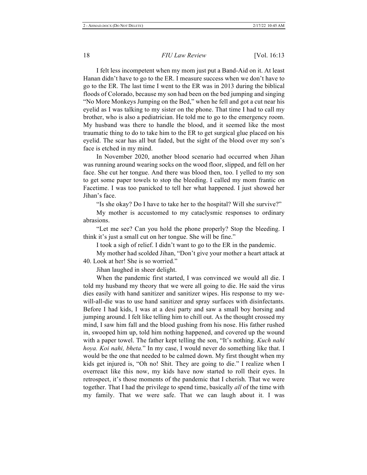I felt less incompetent when my mom just put a Band-Aid on it. At least Hanan didn't have to go to the ER. I measure success when we don't have to go to the ER. The last time I went to the ER was in 2013 during the biblical floods of Colorado, because my son had been on the bed jumping and singing "No More Monkeys Jumping on the Bed," when he fell and got a cut near his eyelid as I was talking to my sister on the phone. That time I had to call my brother, who is also a pediatrician. He told me to go to the emergency room. My husband was there to handle the blood, and it seemed like the most traumatic thing to do to take him to the ER to get surgical glue placed on his eyelid. The scar has all but faded, but the sight of the blood over my son's face is etched in my mind.

In November 2020, another blood scenario had occurred when Jihan was running around wearing socks on the wood floor, slipped, and fell on her face. She cut her tongue. And there was blood then, too. I yelled to my son to get some paper towels to stop the bleeding. I called my mom frantic on Facetime. I was too panicked to tell her what happened. I just showed her Jihan's face.

"Is she okay? Do I have to take her to the hospital? Will she survive?"

My mother is accustomed to my cataclysmic responses to ordinary abrasions.

"Let me see? Can you hold the phone properly? Stop the bleeding. I think it's just a small cut on her tongue. She will be fine."

I took a sigh of relief. I didn't want to go to the ER in the pandemic.

My mother had scolded Jihan, "Don't give your mother a heart attack at 40. Look at her! She is so worried."

Jihan laughed in sheer delight.

When the pandemic first started, I was convinced we would all die. I told my husband my theory that we were all going to die. He said the virus dies easily with hand sanitizer and sanitizer wipes. His response to my wewill-all-die was to use hand sanitizer and spray surfaces with disinfectants. Before I had kids, I was at a desi party and saw a small boy horsing and jumping around. I felt like telling him to chill out. As the thought crossed my mind, I saw him fall and the blood gushing from his nose. His father rushed in, swooped him up, told him nothing happened, and covered up the wound with a paper towel. The father kept telling the son, "It's nothing. *Kuch nahi hoya. Koi nahi, bheta.*" In my case, I would never do something like that. I would be the one that needed to be calmed down. My first thought when my kids get injured is, "Oh no! Shit. They are going to die." I realize when I overreact like this now, my kids have now started to roll their eyes. In retrospect, it's those moments of the pandemic that I cherish. That we were together. That I had the privilege to spend time, basically *all* of the time with my family. That we were safe. That we can laugh about it. I was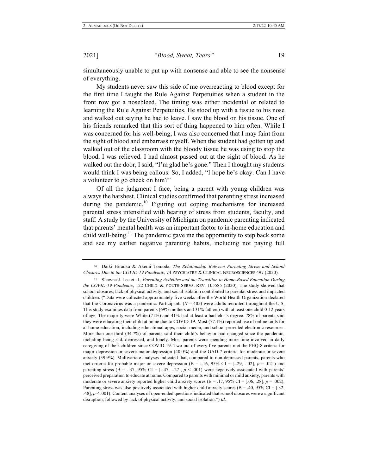simultaneously unable to put up with nonsense and able to see the nonsense of everything.

My students never saw this side of me overreacting to blood except for the first time I taught the Rule Against Perpetuities when a student in the front row got a nosebleed. The timing was either incidental or related to learning the Rule Against Perpetuities. He stood up with a tissue to his nose and walked out saying he had to leave. I saw the blood on his tissue. One of his friends remarked that this sort of thing happened to him often. While I was concerned for his well-being, I was also concerned that I may faint from the sight of blood and embarrass myself. When the student had gotten up and walked out of the classroom with the bloody tissue he was using to stop the blood, I was relieved. I had almost passed out at the sight of blood. As he walked out the door, I said, "I'm glad he's gone." Then I thought my students would think I was being callous. So, I added, "I hope he's okay. Can I have a volunteer to go check on him?"

Of all the judgment I face, being a parent with young children was always the harshest. Clinical studies confirmed that parenting stress increased during the pandemic.<sup>10</sup> Figuring out coping mechanisms for increased parental stress intensified with hearing of stress from students, faculty, and staff. A study by the University of Michigan on pandemic parenting indicated that parents' mental health was an important factor to in-home education and child well-being.<sup>11</sup> The pandemic gave me the opportunity to step back some and see my earlier negative parenting habits, including not paying full

<sup>10</sup> Daiki Hiraoka & Akemi Tomoda, *The Relationship Between Parenting Stress and School Closures Due to the COVID-19 Pandemic*, 74 PSYCHIATRY & CLINICAL NEUROSCIENCES 497 (2020).

<sup>11</sup> Shawna J. Lee et al., *Parenting Activities and the Transition to Home-Based Education During the COVID-19 Pandemic*, 122 CHILD. & YOUTH SERVS. REV. 105585 (2020). The study showed that school closures, lack of physical activity, and social isolation contributed to parental stress and impacted children. ("Data were collected approximately five weeks after the World Health Organization declared that the Coronavirus was a pandemic. Participants  $(N = 405)$  were adults recruited throughout the U.S. This study examines data from parents (69% mothers and 31% fathers) with at least one child 0-12 years of age. The majority were White (71%) and 41% had at least a bachelor's degree. 78% of parents said they were educating their child at home due to COVID-19. Most (77.1%) reported use of online tools for at-home education, including educational apps, social media, and school-provided electronic resources. More than one-third (34.7%) of parents said their child's behavior had changed since the pandemic, including being sad, depressed, and lonely. Most parents were spending more time involved in daily caregiving of their children since COVID-19. Two out of every five parents met the PHQ-8 criteria for major depression or severe major depression (40.0%) and the GAD-7 criteria for moderate or severe anxiety (39.9%). Multivariate analyses indicated that, compared to non-depressed parents, parents who met criteria for probable major or severe depression  $(B = -.16, 95\% \text{ CI} = [-29, -.02], p = .021)$  and parenting stress (B = -.37, 95% CI =  $[-.47, -.27]$ ,  $p < .001$ ) were negatively associated with parents' perceived preparation to educate at home. Compared to parents with minimal or mild anxiety, parents with moderate or severe anxiety reported higher child anxiety scores (B = .17, 95% CI = [.06, .28], *p* = .002). Parenting stress was also positively associated with higher child anxiety scores ( $B = .40, 95\%$  CI = [.32, .48],  $p < .001$ ). Content analyses of open-ended questions indicated that school closures were a significant disruption, followed by lack of physical activity, and social isolation.") *Id*.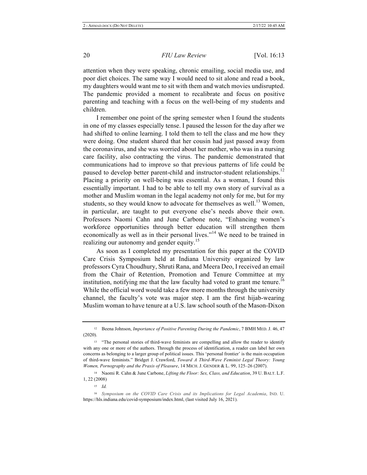attention when they were speaking, chronic emailing, social media use, and poor diet choices. The same way I would need to sit alone and read a book, my daughters would want me to sit with them and watch movies undisrupted. The pandemic provided a moment to recalibrate and focus on positive parenting and teaching with a focus on the well-being of my students and children.

I remember one point of the spring semester when I found the students in one of my classes especially tense. I paused the lesson for the day after we had shifted to online learning. I told them to tell the class and me how they were doing. One student shared that her cousin had just passed away from the coronavirus, and she was worried about her mother, who was in a nursing care facility, also contracting the virus. The pandemic demonstrated that communications had to improve so that previous patterns of life could be paused to develop better parent-child and instructor-student relationships.<sup>12</sup> Placing a priority on well-being was essential. As a woman, I found this essentially important. I had to be able to tell my own story of survival as a mother and Muslim woman in the legal academy not only for me, but for my students, so they would know to advocate for themselves as well.<sup>13</sup> Women, in particular, are taught to put everyone else's needs above their own. Professors Naomi Cahn and June Carbone note, "Enhancing women's workforce opportunities through better education will strengthen them economically as well as in their personal lives."<sup>14</sup> We need to be trained in realizing our autonomy and gender equity.<sup>15</sup>

As soon as I completed my presentation for this paper at the COVID Care Crisis Symposium held at Indiana University organized by law professors Cyra Choudhury, Shruti Rana, and Meera Deo, I received an email from the Chair of Retention, Promotion and Tenure Committee at my institution, notifying me that the law faculty had voted to grant me tenure.<sup>16</sup> While the official word would take a few more months through the university channel, the faculty's vote was major step. I am the first hijab-wearing Muslim woman to have tenure at a U.S. law school south of the Mason-Dixon

<sup>14</sup> Naomi R. Cahn & June Carbone, *Lifting the Floor: Sex, Class, and Education*, 39 U. BALT. L.F. 1, 22 (2008)

<sup>15</sup> *Id.*

<sup>16</sup> *Symposium on the COVID Care Crisis and its Implications for Legal Academia*, IND. U. https://hls.indiana.edu/covid-symposium/index.html, (last visited July 16, 2021).

<sup>12</sup> Beena Johnson, *Importance of Positive Parenting During the Pandemic*, 7 BMH MED. J. 46, 47 (2020).

<sup>&</sup>lt;sup>13</sup> "The personal stories of third-wave feminists are compelling and allow the reader to identify with any one or more of the authors. Through the process of identification, a reader can label her own concerns as belonging to a larger group of political issues. This 'personal frontier' is the main occupation of third-wave feminists." Bridget J. Crawford, *Toward A Third-Wave Feminist Legal Theory: Young Women, Pornography and the Praxis of Pleasure*, 14 MICH. J. GENDER & L. 99, 125–26 (2007).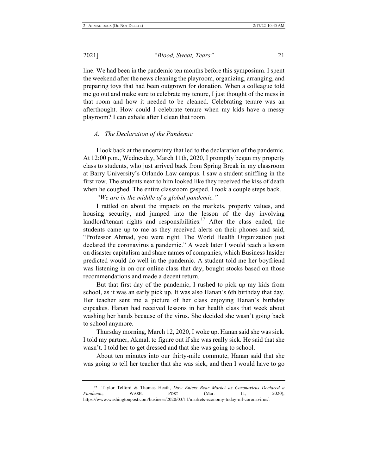line. We had been in the pandemic ten months before this symposium. I spent the weekend after the news cleaning the playroom, organizing, arranging, and preparing toys that had been outgrown for donation. When a colleague told me go out and make sure to celebrate my tenure, I just thought of the mess in that room and how it needed to be cleaned. Celebrating tenure was an afterthought. How could I celebrate tenure when my kids have a messy playroom? I can exhale after I clean that room.

#### *A. The Declaration of the Pandemic*

I look back at the uncertainty that led to the declaration of the pandemic. At 12:00 p.m., Wednesday, March 11th, 2020, I promptly began my property class to students, who just arrived back from Spring Break in my classroom at Barry University's Orlando Law campus. I saw a student sniffling in the first row. The students next to him looked like they received the kiss of death when he coughed. The entire classroom gasped. I took a couple steps back.

*"We are in the middle of a global pandemic."*

I rattled on about the impacts on the markets, property values, and housing security, and jumped into the lesson of the day involving landlord/tenant rights and responsibilities.<sup>17</sup> After the class ended, the students came up to me as they received alerts on their phones and said, "Professor Ahmad, you were right. The World Health Organization just declared the coronavirus a pandemic." A week later I would teach a lesson on disaster capitalism and share names of companies, which Business Insider predicted would do well in the pandemic. A student told me her boyfriend was listening in on our online class that day, bought stocks based on those recommendations and made a decent return.

But that first day of the pandemic, I rushed to pick up my kids from school, as it was an early pick up. It was also Hanan's 6th birthday that day. Her teacher sent me a picture of her class enjoying Hanan's birthday cupcakes. Hanan had received lessons in her health class that week about washing her hands because of the virus. She decided she wasn't going back to school anymore.

Thursday morning, March 12, 2020, I woke up. Hanan said she was sick. I told my partner, Akmal, to figure out if she was really sick. He said that she wasn't. I told her to get dressed and that she was going to school.

About ten minutes into our thirty-mile commute, Hanan said that she was going to tell her teacher that she was sick, and then I would have to go

<sup>17</sup> Taylor Telford & Thomas Heath, *Dow Enters Bear Market as Coronavirus Declared a Pandemic*, WASH. POST (Mar. 11, 2020), https://www.washingtonpost.com/business/2020/03/11/markets-economy-today-oil-coronavirus/.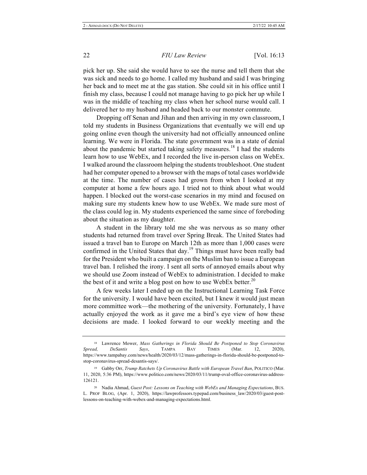pick her up. She said she would have to see the nurse and tell them that she was sick and needs to go home. I called my husband and said I was bringing her back and to meet me at the gas station. She could sit in his office until I finish my class, because I could not manage having to go pick her up while I was in the middle of teaching my class when her school nurse would call. I delivered her to my husband and headed back to our monster commute.

Dropping off Senan and Jihan and then arriving in my own classroom, I told my students in Business Organizations that eventually we will end up going online even though the university had not officially announced online learning. We were in Florida. The state government was in a state of denial about the pandemic but started taking safety measures.<sup>18</sup> I had the students learn how to use WebEx, and I recorded the live in-person class on WebEx. I walked around the classroom helping the students troubleshoot. One student had her computer opened to a browser with the maps of total cases worldwide at the time. The number of cases had grown from when I looked at my computer at home a few hours ago. I tried not to think about what would happen. I blocked out the worst-case scenarios in my mind and focused on making sure my students knew how to use WebEx. We made sure most of the class could log in. My students experienced the same since of foreboding about the situation as my daughter.

A student in the library told me she was nervous as so many other students had returned from travel over Spring Break. The United States had issued a travel ban to Europe on March 12th as more than 1,000 cases were confirmed in the United States that day.<sup>19</sup> Things must have been really bad for the President who built a campaign on the Muslim ban to issue a European travel ban. I relished the irony. I sent all sorts of annoyed emails about why we should use Zoom instead of WebEx to administration. I decided to make the best of it and write a blog post on how to use WebEx better.<sup>20</sup>

A few weeks later I ended up on the Instructional Learning Task Force for the university. I would have been excited, but I knew it would just mean more committee work—the mothering of the university. Fortunately, I have actually enjoyed the work as it gave me a bird's eye view of how these decisions are made. I looked forward to our weekly meeting and the

<sup>18</sup> Lawrence Mower, *Mass Gatherings in Florida Should Be Postponed to Stop Coronavirus Spread, DeSantis Says*, TAMPA BAY TIMES (Mar. 12, 2020), https://www.tampabay.com/news/health/2020/03/12/mass-gatherings-in-florida-should-be-postponed-tostop-coronavirus-spread-desantis-says/.

<sup>19</sup> Gabby Orr, *Trump Ratchets Up Coronavirus Battle with European Travel Ban*, POLITICO (Mar. 11, 2020, 5:36 PM), https://www.politico.com/news/2020/03/11/trump-oval-office-coronavirus-address-126121.

<sup>20</sup> Nadia Ahmad, *Guest Post: Lessons on Teaching with WebEx and Managing Expectations*, BUS. L. PROF BLOG, (Apr. 1, 2020), https://lawprofessors.typepad.com/business\_law/2020/03/guest-postlessons-on-teaching-with-webex-and-managing-expectations.html.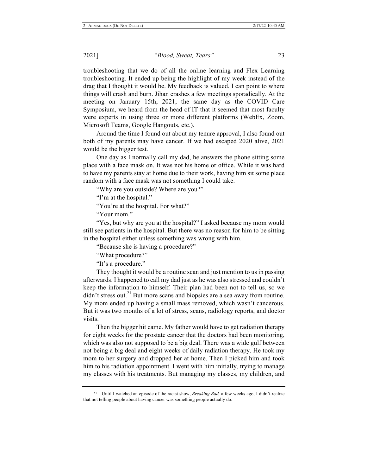troubleshooting that we do of all the online learning and Flex Learning troubleshooting. It ended up being the highlight of my week instead of the drag that I thought it would be. My feedback is valued. I can point to where things will crash and burn. Jihan crashes a few meetings sporadically. At the meeting on January 15th, 2021, the same day as the COVID Care Symposium, we heard from the head of IT that it seemed that most faculty were experts in using three or more different platforms (WebEx, Zoom, Microsoft Teams, Google Hangouts, etc.).

Around the time I found out about my tenure approval, I also found out both of my parents may have cancer. If we had escaped 2020 alive, 2021 would be the bigger test.

One day as I normally call my dad, he answers the phone sitting some place with a face mask on. It was not his home or office. While it was hard to have my parents stay at home due to their work, having him sit some place random with a face mask was not something I could take.

"Why are you outside? Where are you?"

"I'm at the hospital."

"You're at the hospital. For what?"

"Your mom."

"Yes, but why are you at the hospital?" I asked because my mom would still see patients in the hospital. But there was no reason for him to be sitting in the hospital either unless something was wrong with him.

"Because she is having a procedure?"

"What procedure?"

"It's a procedure."

They thought it would be a routine scan and just mention to us in passing afterwards. I happened to call my dad just as he was also stressed and couldn't keep the information to himself. Their plan had been not to tell us, so we  $\text{d}$ idn't stress out.<sup>21</sup> But more scans and biopsies are a sea away from routine. My mom ended up having a small mass removed, which wasn't cancerous. But it was two months of a lot of stress, scans, radiology reports, and doctor visits.

Then the bigger hit came. My father would have to get radiation therapy for eight weeks for the prostate cancer that the doctors had been monitoring, which was also not supposed to be a big deal. There was a wide gulf between not being a big deal and eight weeks of daily radiation therapy. He took my mom to her surgery and dropped her at home. Then I picked him and took him to his radiation appointment. I went with him initially, trying to manage my classes with his treatments. But managing my classes, my children, and

<sup>21</sup> Until I watched an episode of the racist show, *Breaking Bad,* a few weeks ago, I didn't realize that not telling people about having cancer was something people actually do.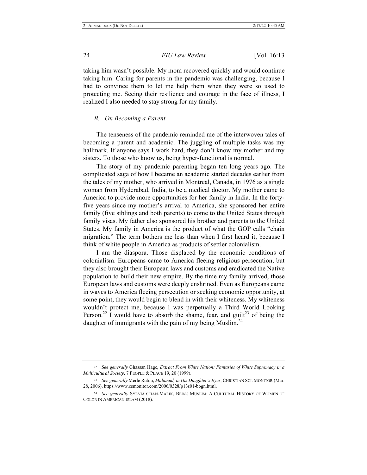taking him wasn't possible. My mom recovered quickly and would continue taking him. Caring for parents in the pandemic was challenging, because I had to convince them to let me help them when they were so used to protecting me. Seeing their resilience and courage in the face of illness, I realized I also needed to stay strong for my family.

#### *B. On Becoming a Parent*

The tenseness of the pandemic reminded me of the interwoven tales of becoming a parent and academic. The juggling of multiple tasks was my hallmark. If anyone says I work hard, they don't know my mother and my sisters. To those who know us, being hyper-functional is normal.

The story of my pandemic parenting began ten long years ago. The complicated saga of how I became an academic started decades earlier from the tales of my mother, who arrived in Montreal, Canada, in 1976 as a single woman from Hyderabad, India, to be a medical doctor. My mother came to America to provide more opportunities for her family in India. In the fortyfive years since my mother's arrival to America, she sponsored her entire family (five siblings and both parents) to come to the United States through family visas. My father also sponsored his brother and parents to the United States. My family in America is the product of what the GOP calls "chain migration." The term bothers me less than when I first heard it, because I think of white people in America as products of settler colonialism.

I am the diaspora. Those displaced by the economic conditions of colonialism. Europeans came to America fleeing religious persecution, but they also brought their European laws and customs and eradicated the Native population to build their new empire. By the time my family arrived, those European laws and customs were deeply enshrined. Even as Europeans came in waves to America fleeing persecution or seeking economic opportunity, at some point, they would begin to blend in with their whiteness. My whiteness wouldn't protect me, because I was perpetually a Third World Looking Person.<sup>22</sup> I would have to absorb the shame, fear, and guilt<sup>23</sup> of being the daughter of immigrants with the pain of my being Muslim.<sup>24</sup>

<sup>22</sup> *See generally* Ghassan Hage, *Extract From White Nation: Fantasies of White Supremacy in a Multicultural Society*, 7 PEOPLE & PLACE 19, 20 (1999).

<sup>23</sup> *See generally* Merle Rubin, *Malamud, in His Daughter's Eyes*, CHRISTIAN SCI. MONITOR (Mar. 28, 2006), https://www.csmonitor.com/2006/0328/p13s01-bogn.html.

<sup>24</sup> *See generally* SYLVIA CHAN-MALIK, BEING MUSLIM: A CULTURAL HISTORY OF WOMEN OF COLOR IN AMERICAN ISLAM (2018).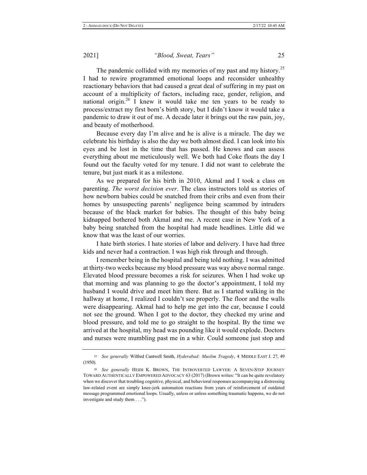The pandemic collided with my memories of my past and my history.<sup>25</sup> I had to rewire programmed emotional loops and reconsider unhealthy reactionary behaviors that had caused a great deal of suffering in my past on account of a multiplicity of factors, including race, gender, religion, and national origin.<sup>26</sup> I knew it would take me ten years to be ready to process/extract my first born's birth story, but I didn't know it would take a pandemic to draw it out of me. A decade later it brings out the raw pain, joy, and beauty of motherhood.

Because every day I'm alive and he is alive is a miracle. The day we celebrate his birthday is also the day we both almost died. I can look into his eyes and be lost in the time that has passed. He knows and can assess everything about me meticulously well. We both had Coke floats the day I found out the faculty voted for my tenure. I did not want to celebrate the tenure, but just mark it as a milestone.

As we prepared for his birth in 2010, Akmal and I took a class on parenting. *The worst decision ever*. The class instructors told us stories of how newborn babies could be snatched from their cribs and even from their homes by unsuspecting parents' negligence being scammed by intruders because of the black market for babies. The thought of this baby being kidnapped bothered both Akmal and me. A recent case in New York of a baby being snatched from the hospital had made headlines. Little did we know that was the least of our worries.

I hate birth stories. I hate stories of labor and delivery. I have had three kids and never had a contraction. I was high risk through and through.

I remember being in the hospital and being told nothing. I was admitted at thirty-two weeks because my blood pressure was way above normal range. Elevated blood pressure becomes a risk for seizures. When I had woke up that morning and was planning to go the doctor's appointment, I told my husband I would drive and meet him there. But as I started walking in the hallway at home, I realized I couldn't see properly. The floor and the walls were disappearing. Akmal had to help me get into the car, because I could not see the ground. When I got to the doctor, they checked my urine and blood pressure, and told me to go straight to the hospital. By the time we arrived at the hospital, my head was pounding like it would explode. Doctors and nurses were mumbling past me in a whir. Could someone just stop and

<sup>25</sup> *See generally* Wilfred Cantwell Smith, *Hyderabad: Muslim Tragedy*, 4 MIDDLE EAST J. 27, 49 (1950).

<sup>26</sup> *See generally* HEIDI K. BROWN, THE INTROVERTED LAWYER: A SEVEN-STEP JOURNEY TOWARD AUTHENTICALLY EMPOWERED ADVOCACY 63 (2017) (Brown writes: "It can be quite revelatory when we discover that troubling cognitive, physical, and behavioral responses accompanying a distressing law-related event are simply knee-jerk automation reactions from years of reinforcement of outdated message programmed emotional loops. Usually, unless or unless something traumatic happens, we do not investigate and study them . . .").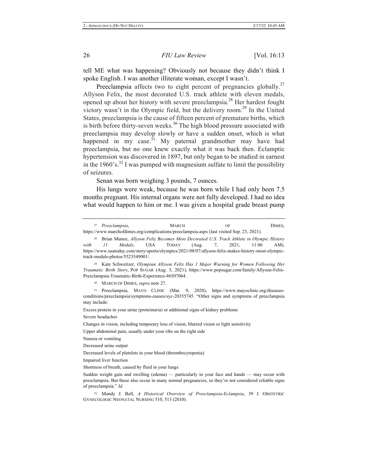tell ME what was happening? Obviously not because they didn't think I spoke English. I was another illiterate woman, except I wasn't.

Preeclampsia affects two to eight percent of pregnancies globally.<sup>27</sup> Allyson Felix, the most decorated U.S. track athlete with eleven medals, opened up about her history with severe preeclampsia.28 Her hardest fought victory wasn't in the Olympic field, but the delivery room.29 In the United States, preeclampsia is the cause of fifteen percent of premature births, which is birth before thirty-seven weeks.<sup>30</sup> The high blood pressure associated with preeclampsia may develop slowly or have a sudden onset, which is what happened in my case. $31$  My paternal grandmother may have had preeclampsia, but no one knew exactly what it was back then. Eclamptic hypertension was discovered in 1897, but only began to be studied in earnest in the 1960's.<sup>32</sup> I was pumped with magnesium sulfate to limit the possibility of seizures.

Senan was born weighing 3 pounds, 7 ounces.

His lungs were weak, because he was born while I had only been 7.5 months pregnant. His internal organs were not fully developed. I had no idea what would happen to him or me. I was given a hospital grade breast pump

| <sup>27</sup> Preeclampsia,                                                                | <b>MARCH</b> | ОF | DIMES, |  |  |  |  |  |
|--------------------------------------------------------------------------------------------|--------------|----|--------|--|--|--|--|--|
| https://www.marchofdimes.org/complications/preeclampsia.aspx (last visited Sep. 23, 2021). |              |    |        |  |  |  |  |  |

<sup>28</sup> Brian Munoz, *Allyson Feliz Becomes Most Decorated U.S. Track Athlete in Olympic History with 11 Medals*, USA TODAY (Aug. 7, 2021, 11:06 AM), https://www.usatoday.com/story/sports/olympics/2021/08/07/allyson-felix-makes-history-most-olympictrack-medals-photos/5523549001/.

<sup>29</sup> Kate Schweitzer*, Olympian Allyson Felix Has 1 Major Warning for Women Following Her Traumatic Birth Story*, POP SUGAR (Aug. 3, 2021), https://www.popsugar.com/family/Allyson-Felix-Preeclampsia-Traumatic-Birth-Experience-46507064.

MARCH OF DIMES, *supra* note 27.

<sup>31</sup> Preeclampsia, MAYO CLINIC (Mar. 9, 2020), https://www.mayoclinic.org/diseasesconditions/preeclampsia/symptoms-causes/syc-20355745. "Other signs and symptoms of preeclampsia may include:

Excess protein in your urine (proteinuria) or additional signs of kidney problems

Severe headaches

Changes in vision, including temporary loss of vision, blurred vision or light sensitivity

Upper abdominal pain, usually under your ribs on the right side

Nausea or vomiting

Decreased urine output

Decreased levels of platelets in your blood (thrombocytopenia)

Impaired liver function

Shortness of breath, caused by fluid in your lungs

Sudden weight gain and swelling (edema) — particularly in your face and hands — may occur with preeclampsia. But these also occur in many normal pregnancies, so they're not considered reliable signs of preeclampsia." *Id.* 

<sup>32</sup> Mandy J. Bell, *A Historical Overview of Preeclampsia-Eclampsia*, 39 J. OBSTETRIC GYNECOLOGIC NEONATAL NURSING 510, 513 (2010).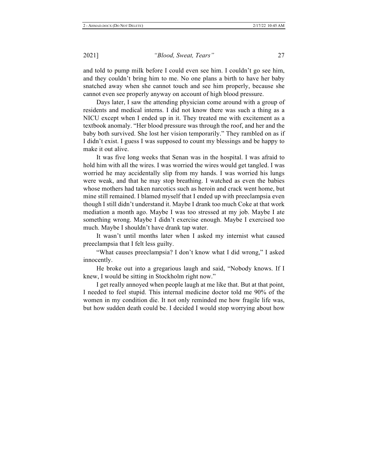and told to pump milk before I could even see him. I couldn't go see him, and they couldn't bring him to me. No one plans a birth to have her baby snatched away when she cannot touch and see him properly, because she cannot even see properly anyway on account of high blood pressure.

Days later, I saw the attending physician come around with a group of residents and medical interns. I did not know there was such a thing as a NICU except when I ended up in it. They treated me with excitement as a textbook anomaly. "Her blood pressure was through the roof, and her and the baby both survived. She lost her vision temporarily." They rambled on as if I didn't exist. I guess I was supposed to count my blessings and be happy to make it out alive.

It was five long weeks that Senan was in the hospital. I was afraid to hold him with all the wires. I was worried the wires would get tangled. I was worried he may accidentally slip from my hands. I was worried his lungs were weak, and that he may stop breathing. I watched as even the babies whose mothers had taken narcotics such as heroin and crack went home, but mine still remained. I blamed myself that I ended up with preeclampsia even though I still didn't understand it. Maybe I drank too much Coke at that work mediation a month ago. Maybe I was too stressed at my job. Maybe I ate something wrong. Maybe I didn't exercise enough. Maybe I exercised too much. Maybe I shouldn't have drank tap water.

It wasn't until months later when I asked my internist what caused preeclampsia that I felt less guilty.

"What causes preeclampsia? I don't know what I did wrong," I asked innocently.

He broke out into a gregarious laugh and said, "Nobody knows. If I knew, I would be sitting in Stockholm right now."

I get really annoyed when people laugh at me like that. But at that point, I needed to feel stupid. This internal medicine doctor told me 90% of the women in my condition die. It not only reminded me how fragile life was, but how sudden death could be. I decided I would stop worrying about how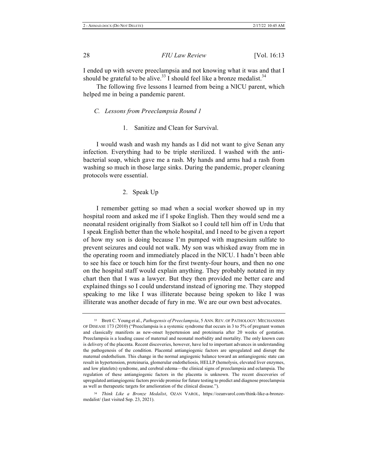I ended up with severe preeclampsia and not knowing what it was and that I should be grateful to be alive.<sup>33</sup> I should feel like a bronze medalist.<sup>34</sup>

The following five lessons I learned from being a NICU parent, which helped me in being a pandemic parent.

# *C. Lessons from Preeclampsia Round 1*

1. Sanitize and Clean for Survival.

I would wash and wash my hands as I did not want to give Senan any infection. Everything had to be triple sterilized. I washed with the antibacterial soap, which gave me a rash. My hands and arms had a rash from washing so much in those large sinks. During the pandemic, proper cleaning protocols were essential.

# 2. Speak Up

I remember getting so mad when a social worker showed up in my hospital room and asked me if I spoke English. Then they would send me a neonatal resident originally from Sialkot so I could tell him off in Urdu that I speak English better than the whole hospital, and I need to be given a report of how my son is doing because I'm pumped with magnesium sulfate to prevent seizures and could not walk. My son was whisked away from me in the operating room and immediately placed in the NICU. I hadn't been able to see his face or touch him for the first twenty-four hours, and then no one on the hospital staff would explain anything. They probably notated in my chart then that I was a lawyer. But they then provided me better care and explained things so I could understand instead of ignoring me. They stopped speaking to me like I was illiterate because being spoken to like I was illiterate was another decade of fury in me. We are our own best advocates.

<sup>34</sup> *Think Like a Bronze Medalist*, OZAN VAROL, https://ozanvarol.com/think-like-a-bronzemedalist/ (last visited Sep. 23, 2021).

<sup>33</sup> Brett C. Young et al., *Pathogensis of Preeclampsia*, 5 ANN. REV. OF PATHOLOGY: MECHANISMS OF DISEASE 173 (2010) ("Preeclampsia is a systemic syndrome that occurs in 3 to 5% of pregnant women and classically manifests as new-onset hypertension and proteinuria after 20 weeks of gestation. Preeclampsia is a leading cause of maternal and neonatal morbidity and mortality. The only known cure is delivery of the placenta. Recent discoveries, however, have led to important advances in understanding the pathogenesis of the condition. Placental antiangiogenic factors are upregulated and disrupt the maternal endothelium. This change in the normal angiogenic balance toward an antiangiogenic state can result in hypertension, proteinuria, glomerular endotheliosis, HELLP (hemolysis, elevated liver enzymes, and low platelets) syndrome, and cerebral edema—the clinical signs of preeclampsia and eclampsia. The regulation of these antiangiogenic factors in the placenta is unknown. The recent discoveries of upregulated antiangiogenic factors provide promise for future testing to predict and diagnose preeclampsia as well as therapeutic targets for amelioration of the clinical disease.").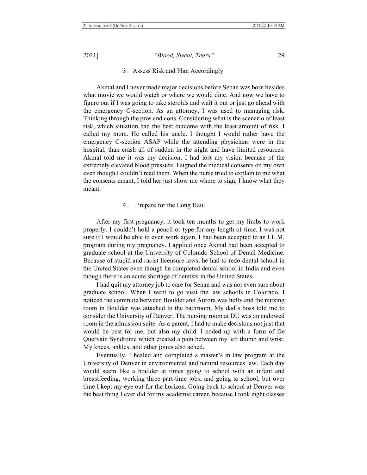### 3. Assess Risk and Plan Accordingly

Akmal and I never made major decisions before Senan was born besides what movie we would watch or where we would dine. And now we have to figure out if I was going to take steroids and wait it out or just go ahead with the emergency C-section. As an attorney, I was used to managing risk. Thinking through the pros and cons. Considering what is the scenario of least risk, which situation had the best outcome with the least amount of risk. I called my mom. He called his uncle. I thought I would rather have the emergency C-section ASAP while the attending physicians were in the hospital, than crash all of sudden in the night and have limited resources. Akmal told me it was my decision. I had lost my vision because of the extremely elevated blood pressure. I signed the medical consents on my own even though I couldn't read them. When the nurse tried to explain to me what the consents meant, I told her just show me where to sign, I know what they meant.

#### 4. Prepare for the Long Haul

After my first pregnancy, it took ten months to get my limbs to work properly. I couldn't hold a pencil or type for any length of time. I was not sure if I would be able to even work again. I had been accepted to an LL.M. program during my pregnancy. I applied once Akmal had been accepted to graduate school at the University of Colorado School of Dental Medicine. Because of stupid and racist licensure laws, he had to redo dental school in the United States even though he completed dental school in India and even though there is an acute shortage of dentists in the United States.

I had quit my attorney job to care for Senan and was not even sure about graduate school. When I went to go visit the law schools in Colorado, I noticed the commute between Boulder and Aurora was hefty and the nursing room in Boulder was attached to the bathroom. My dad's boss told me to consider the University of Denver. The nursing room at DU was an endowed room in the admission suite. As a parent, I had to make decisions not just that would be best for me, but also my child. I ended up with a form of De Quervain Syndrome which created a pain between my left thumb and wrist. My knees, ankles, and other joints also ached.

Eventually, I healed and completed a master's in law program at the University of Denver in environmental and natural resources law. Each day would seem like a boulder at times going to school with an infant and breastfeeding, working three part-time jobs, and going to school, but over time I kept my eye out for the horizon. Going back to school at Denver was the best thing I ever did for my academic career, because I took eight classes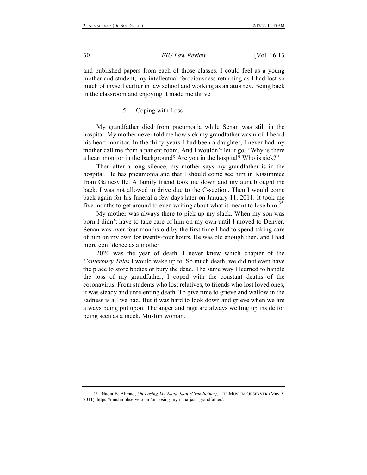and published papers from each of those classes. I could feel as a young mother and student, my intellectual ferociousness returning as I had lost so much of myself earlier in law school and working as an attorney. Being back in the classroom and enjoying it made me thrive.

### 5. Coping with Loss

My grandfather died from pneumonia while Senan was still in the hospital. My mother never told me how sick my grandfather was until I heard his heart monitor. In the thirty years I had been a daughter, I never had my mother call me from a patient room. And I wouldn't let it go. "Why is there a heart monitor in the background? Are you in the hospital? Who is sick?"

Then after a long silence, my mother says my grandfather is in the hospital. He has pneumonia and that I should come see him in Kissimmee from Gainesville. A family friend took me down and my aunt brought me back. I was not allowed to drive due to the C-section. Then I would come back again for his funeral a few days later on January 11, 2011. It took me five months to get around to even writing about what it meant to lose him.<sup>35</sup>

My mother was always there to pick up my slack. When my son was born I didn't have to take care of him on my own until I moved to Denver. Senan was over four months old by the first time I had to spend taking care of him on my own for twenty-four hours. He was old enough then, and I had more confidence as a mother.

2020 was the year of death. I never knew which chapter of the *Canterbury Tales* I would wake up to. So much death, we did not even have the place to store bodies or bury the dead. The same way I learned to handle the loss of my grandfather, I coped with the constant deaths of the coronavirus. From students who lost relatives, to friends who lost loved ones, it was steady and unrelenting death. To give time to grieve and wallow in the sadness is all we had. But it was hard to look down and grieve when we are always being put upon. The anger and rage are always welling up inside for being seen as a meek, Muslim woman.

<sup>35</sup> Nadia B. Ahmad, *On Losing My Nana Jaan (Grandfather)*, THE MUSLIM OBSERVER (May 5, 2011), https://muslimobserver.com/on-losing-my-nana-jaan-grandfather/.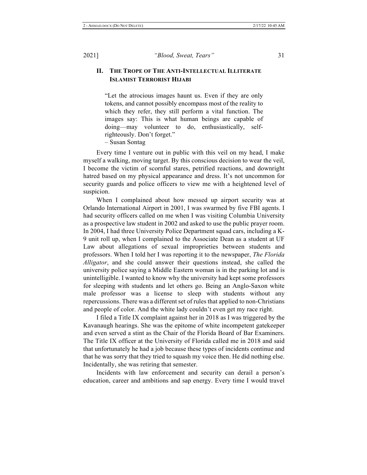# **II. THE TROPE OF THE ANTI-INTELLECTUAL ILLITERATE ISLAMIST TERRORIST HIJABI**

"Let the atrocious images haunt us. Even if they are only tokens, and cannot possibly encompass most of the reality to which they refer, they still perform a vital function. The images say: This is what human beings are capable of doing—may volunteer to do, enthusiastically, selfrighteously. Don't forget."

– Susan Sontag

Every time I venture out in public with this veil on my head, I make myself a walking, moving target. By this conscious decision to wear the veil, I become the victim of scornful stares, petrified reactions, and downright hatred based on my physical appearance and dress. It's not uncommon for security guards and police officers to view me with a heightened level of suspicion.

When I complained about how messed up airport security was at Orlando International Airport in 2001, I was swarmed by five FBI agents. I had security officers called on me when I was visiting Columbia University as a prospective law student in 2002 and asked to use the public prayer room. In 2004, I had three University Police Department squad cars, including a K-9 unit roll up, when I complained to the Associate Dean as a student at UF Law about allegations of sexual improprieties between students and professors. When I told her I was reporting it to the newspaper, *The Florida Alligator*, and she could answer their questions instead, she called the university police saying a Middle Eastern woman is in the parking lot and is unintelligible. I wanted to know why the university had kept some professors for sleeping with students and let others go. Being an Anglo-Saxon white male professor was a license to sleep with students without any repercussions. There was a different set of rules that applied to non-Christians and people of color. And the white lady couldn't even get my race right.

I filed a Title IX complaint against her in 2018 as I was triggered by the Kavanaugh hearings. She was the epitome of white incompetent gatekeeper and even served a stint as the Chair of the Florida Board of Bar Examiners. The Title IX officer at the University of Florida called me in 2018 and said that unfortunately he had a job because these types of incidents continue and that he was sorry that they tried to squash my voice then. He did nothing else. Incidentally, she was retiring that semester.

Incidents with law enforcement and security can derail a person's education, career and ambitions and sap energy. Every time I would travel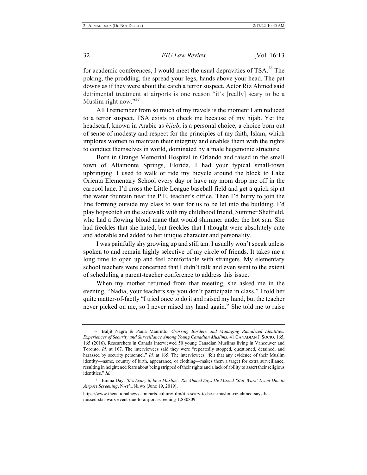for academic conferences, I would meet the usual depravities of TSA. $36$  The poking, the prodding, the spread your legs, hands above your head. The pat downs as if they were about the catch a terror suspect. Actor Riz Ahmed said detrimental treatment at airports is one reason "it's [really] scary to be a Muslim right now."37

All I remember from so much of my travels is the moment I am reduced to a terror suspect. TSA exists to check me because of my hijab. Yet the headscarf, known in Arabic as *hijab*, is a personal choice, a choice born out of sense of modesty and respect for the principles of my faith, Islam, which implores women to maintain their integrity and enables them with the rights to conduct themselves in world, dominated by a male hegemonic structure.

Born in Orange Memorial Hospital in Orlando and raised in the small town of Altamonte Springs, Florida, I had your typical small-town upbringing. I used to walk or ride my bicycle around the block to Lake Orienta Elementary School every day or have my mom drop me off in the carpool lane. I'd cross the Little League baseball field and get a quick sip at the water fountain near the P.E. teacher's office. Then I'd hurry to join the line forming outside my class to wait for us to be let into the building. I'd play hopscotch on the sidewalk with my childhood friend, Summer Sheffield, who had a flowing blond mane that would shimmer under the hot sun. She had freckles that she hated, but freckles that I thought were absolutely cute and adorable and added to her unique character and personality.

I was painfully shy growing up and still am. I usually won't speak unless spoken to and remain highly selective of my circle of friends. It takes me a long time to open up and feel comfortable with strangers. My elementary school teachers were concerned that I didn't talk and even went to the extent of scheduling a parent-teacher conference to address this issue.

When my mother returned from that meeting, she asked me in the evening, "Nadia, your teachers say you don't participate in class." I told her quite matter-of-factly "I tried once to do it and raised my hand, but the teacher never picked on me, so I never raised my hand again." She told me to raise

<sup>36</sup> Baljit Nagra & Paula Maurutto, *Crossing Borders and Managing Racialized Identities: Experiences of Security and Surveillance Among Young Canadian Muslims*, 41 CANADIAN J. SOCIO. 165, 165 (2016). Researchers in Canada interviewed 50 young Canadian Muslims living in Vancouver and Toronto. *Id.* at 167. The interviewees said they were "repeatedly stopped, questioned, detained, and harassed by security personnel." *Id.* at 165. The interviewees "felt that any evidence of their Muslim identity—name, country of birth, appearance, or clothing—makes them a target for extra surveillance, resulting in heightened fears about being stripped of their rights and a lack of ability to assert their religious identities." *Id.*

<sup>37</sup> Emma Day, *'It's Scary to be a Muslim': Riz Ahmed Says He Missed 'Star Wars' Event Due to Airport Screening*, NAT'L NEWS (June 19, 2019),

https://www.thenationalnews.com/arts-culture/film/it-s-scary-to-be-a-muslim-riz-ahmed-says-hemissed-star-wars-event-due-to-airport-screening-1.880809.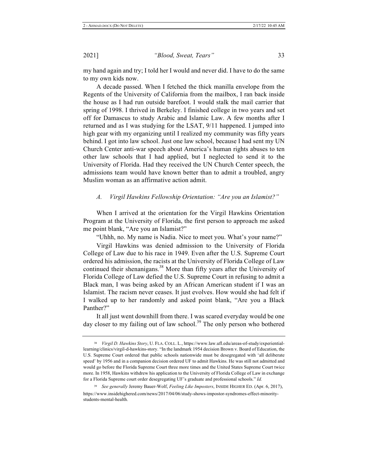my hand again and try; I told her I would and never did. I have to do the same to my own kids now.

A decade passed. When I fetched the thick manilla envelope from the Regents of the University of California from the mailbox, I ran back inside the house as I had run outside barefoot. I would stalk the mail carrier that spring of 1998. I thrived in Berkeley. I finished college in two years and set off for Damascus to study Arabic and Islamic Law. A few months after I returned and as I was studying for the LSAT, 9/11 happened. I jumped into high gear with my organizing until I realized my community was fifty years behind. I got into law school. Just one law school, because I had sent my UN Church Center anti-war speech about America's human rights abuses to ten other law schools that I had applied, but I neglected to send it to the University of Florida. Had they received the UN Church Center speech, the admissions team would have known better than to admit a troubled, angry Muslim woman as an affirmative action admit.

# *A. Virgil Hawkins Fellowship Orientation: "Are you an Islamist?"*

When I arrived at the orientation for the Virgil Hawkins Orientation Program at the University of Florida, the first person to approach me asked me point blank, "Are you an Islamist?"

"Uhhh, no. My name is Nadia. Nice to meet you. What's your name?"

Virgil Hawkins was denied admission to the University of Florida College of Law due to his race in 1949. Even after the U.S. Supreme Court ordered his admission, the racists at the University of Florida College of Law continued their shenanigans.<sup>38</sup> More than fifty years after the University of Florida College of Law defied the U.S. Supreme Court in refusing to admit a Black man, I was being asked by an African American student if I was an Islamist. The racism never ceases. It just evolves. How would she had felt if I walked up to her randomly and asked point blank, "Are you a Black Panther?"

It all just went downhill from there. I was scared everyday would be one day closer to my failing out of law school.<sup>39</sup> The only person who bothered

<sup>38</sup> *Virgil D. Hawkins Story*, U. FLA. COLL. L., https://www.law.ufl.edu/areas-of-study/experientiallearning/clinics/virgil-d-hawkins-story. "In the landmark 1954 decision Brown v. Board of Education, the U.S. Supreme Court ordered that public schools nationwide must be desegregated with 'all deliberate speed' by 1956 and in a companion decision ordered UF to admit Hawkins. He was still not admitted and would go before the Florida Supreme Court three more times and the United States Supreme Court twice more. In 1958, Hawkins withdrew his application to the University of Florida College of Law in exchange for a Florida Supreme court order desegregating UF's graduate and professional schools." *Id.*

<sup>39</sup> *See generally* Jeremy Bauer-Wolf, *Feeling Like Imposters*, INSIDE HIGHER ED. (Apr. 6, 2017), https://www.insidehighered.com/news/2017/04/06/study-shows-impostor-syndromes-effect-minoritystudents-mental-health.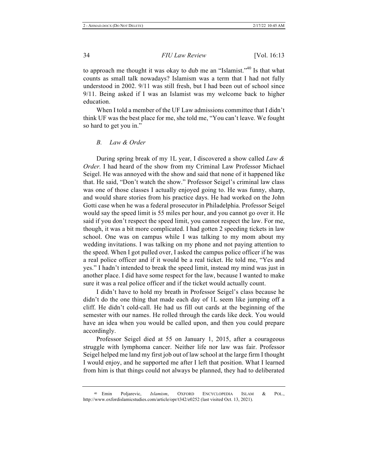to approach me thought it was okay to dub me an "Islamist."<sup>40</sup> Is that what counts as small talk nowadays? Islamism was a term that I had not fully understood in 2002. 9/11 was still fresh, but I had been out of school since 9/11. Being asked if I was an Islamist was my welcome back to higher education.

When I told a member of the UF Law admissions committee that I didn't think UF was the best place for me, she told me, "You can't leave. We fought so hard to get you in."

## *B. Law & Order*

During spring break of my 1L year, I discovered a show called *Law & Order.* I had heard of the show from my Criminal Law Professor Michael Seigel. He was annoyed with the show and said that none of it happened like that. He said, "Don't watch the show." Professor Seigel's criminal law class was one of those classes I actually enjoyed going to. He was funny, sharp, and would share stories from his practice days. He had worked on the John Gotti case when he was a federal prosecutor in Philadelphia. Professor Seigel would say the speed limit is 55 miles per hour, and you cannot go over it. He said if you don't respect the speed limit, you cannot respect the law. For me, though, it was a bit more complicated. I had gotten 2 speeding tickets in law school. One was on campus while I was talking to my mom about my wedding invitations. I was talking on my phone and not paying attention to the speed. When I got pulled over, I asked the campus police officer if he was a real police officer and if it would be a real ticket. He told me, "Yes and yes." I hadn't intended to break the speed limit, instead my mind was just in another place. I did have some respect for the law, because I wanted to make sure it was a real police officer and if the ticket would actually count.

I didn't have to hold my breath in Professor Seigel's class because he didn't do the one thing that made each day of 1L seem like jumping off a cliff. He didn't cold-call. He had us fill out cards at the beginning of the semester with our names. He rolled through the cards like deck. You would have an idea when you would be called upon, and then you could prepare accordingly.

Professor Seigel died at 55 on January 1, 2015, after a courageous struggle with lymphoma cancer. Neither life nor law was fair. Professor Seigel helped me land my first job out of law school at the large firm I thought I would enjoy, and he supported me after I left that position. What I learned from him is that things could not always be planned, they had to deliberated

<sup>40</sup> Emin Poljarevic, *Islamism*, OXFORD ENCYCLOPEDIA ISLAM & POL., http://www.oxfordislamicstudies.com/article/opr/t342/e0252 (last visited Oct. 13, 2021).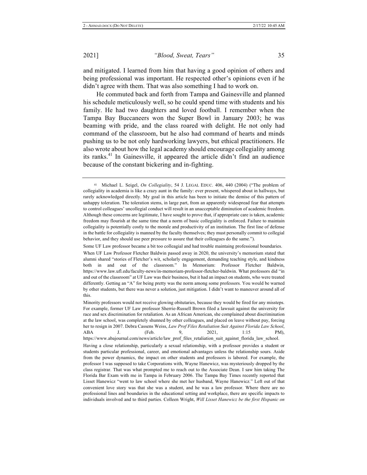and mitigated. I learned from him that having a good opinion of others and being professional was important. He respected other's opinions even if he didn't agree with them. That was also something I had to work on.

He commuted back and forth from Tampa and Gainesville and planned his schedule meticulously well, so he could spend time with students and his family. He had two daughters and loved football. I remember when the Tampa Bay Buccaneers won the Super Bowl in January 2003; he was beaming with pride, and the class roared with delight. He not only had command of the classroom, but he also had command of hearts and minds pushing us to be not only hardworking lawyers, but ethical practitioners. He also wrote about how the legal academy should encourage collegiality among its ranks.<sup>41</sup> In Gainesville, it appeared the article didn't find an audience because of the constant bickering and in-fighting.

Some UF Law professor became a bit too colleagial and had trouble maintaing professional boundaries.

When UF Law Professor Fletcher Baldwin passed away in 2020, the university's memorium stated that alumni shared "stories of Fletcher's wit, scholarly engagement, demanding teaching style, and kindness both in and out of the classroom." In Memorium: Professor Fletcher Baldwin, https://www.law.ufl.edu/faculty-news/in-memoriam-professor-fletcher-baldwin. What professors did "in and out of the classroom" at UF Law was their business, but it had an impact on students, who were treated differently. Getting an "A" for being pretty was the norm among some professors. You would be warned by other students, but there was never a solution, just mitigation. I didn't want to maneuver around all of this.

Minority professors would not receive glowing obitutaries, because they would be fired for any missteps. For example, former UF Law professor Sherrie-Russell Brown filed a lawsuit against the university for race and sex discrimination for retaliation. As an African American, she complained about discrimination at the law school, was completely shunned by other colleagues, and placed on leave without pay, forcing her to resign in 2007. Debra Cassens Weiss, *Law Prof Files Retaliation Suit Against Florida Law School*, ABA J. (Feb. 9, 2021, 1:15 PM), https://www.abajournal.com/news/article/law\_prof\_files\_retaliation\_suit\_against\_florida\_law\_school.

Having a close relationship, particularly a sexual relationship, with a professor provides a student or students particular professional, career, and emotional advantages unless the relationship sours. Aside from the power dynamics, the impact on other students and professors is labored. For example, the professor I was supposed to take Corporations with, Wayne Hanewicz, was mysteriously dropped by the class registrar. That was what prompted me to reach out to the Associate Dean. I saw him taking The Florida Bar Exam with me in Tampa in February 2006. The Tampa Bay Times recently reported that Lisset Hanewicz "went to law school where she met her husband, Wayne Hanewicz." Left out of that convenient love story was that she was a student, and he was a law professor. Where there are no professional lines and boundaries in the educational setting and workplace, there are specific impacts to individuals involved and to third parties. Colleen Wright, *Will Lisset Hanewicz be the first Hispanic on* 

<sup>41</sup> Michael L. Seigel, *On Collegiality*, 54 J. LEGAL EDUC. 406, 440 (2004) ("The problem of collegiality in academia is like a crazy aunt in the family: ever present, whispered about in hallways, but rarely acknowledged directly. My goal in this article has been to initiate the demise of this pattern of unhappy toleration. The toleration stems, in large part, from an apparently widespread fear that attempts to control colleagues' uncollegial conduct will result in an unacceptable diminution of academic freedom. Although these concerns are legitimate, I have sought to prove that, if appropriate care is taken, academic freedom may flourish at the same time that a norm of basic collegiality is enforced. Failure to maintain collegiality is potentially costly to the morale and productivity of an institution. The first line of defense in the battle for collegiality is manned by the faculty themselves; they must personally commit to collegial behavior, and they should use peer pressure to assure that their colleagues do the same.").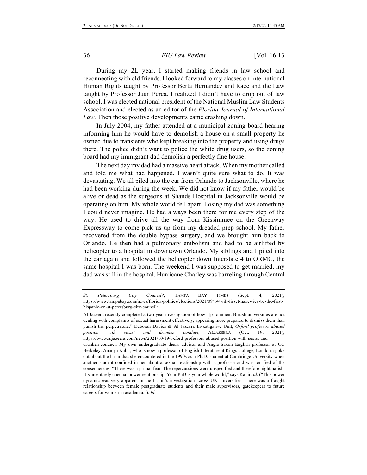During my 2L year, I started making friends in law school and reconnecting with old friends. I looked forward to my classes on International Human Rights taught by Professor Berta Hernandez and Race and the Law taught by Professor Juan Perea. I realized I didn't have to drop out of law school. I was elected national president of the National Muslim Law Students Association and elected as an editor of the *Florida Journal of International Law.* Then those positive developments came crashing down.

In July 2004, my father attended at a municipal zoning board hearing informing him he would have to demolish a house on a small property he owned due to transients who kept breaking into the property and using drugs there. The police didn't want to police the white drug users, so the zoning board had my immigrant dad demolish a perfectly fine house.

The next day my dad had a massive heart attack. When my mother called and told me what had happened, I wasn't quite sure what to do. It was devastating. We all piled into the car from Orlando to Jacksonville, where he had been working during the week. We did not know if my father would be alive or dead as the surgeons at Shands Hospital in Jacksonville would be operating on him. My whole world fell apart. Losing my dad was something I could never imagine. He had always been there for me every step of the way. He used to drive all the way from Kissimmee on the Greenway Expressway to come pick us up from my dreaded prep school. My father recovered from the double bypass surgery, and we brought him back to Orlando. He then had a pulmonary embolism and had to be airlifted by helicopter to a hospital in downtown Orlando. My siblings and I piled into the car again and followed the helicopter down Interstate 4 to ORMC, the same hospital I was born. The weekend I was supposed to get married, my dad was still in the hospital, Hurricane Charley was barreling through Central

*St. Petersburg City Council?*, TAMPA BAY TIMES (Sept. 4, 2021), https://www.tampabay.com/news/florida-politics/elections/2021/09/14/will-lisset-hanewicz-be-the-firsthispanic-on-st-petersburg-city-council/.

Al Jazeera recently completed a two year investigation of how "[p]rominent British universities are not dealing with complaints of sexual harassment effectively, appearing more prepared to dismiss them than punish the perpetrators." Deborah Davies & Al Jazeera Investigative Unit, *Oxford professos abused position with sexist and drunken conduct*, ALJAZEERA (Oct. 19, 2021), https://www.aljazeera.com/news/2021/10/19/oxford-professors-abused-position-with-sexist-anddrunken-conduct. My own undergraduate thesis advisor and Anglo-Saxon English professor at UC Berkeley, Ananya Kabir, who is now a professor of English Literature at Kings College, London, spoke out about the harm that she encountered in the 1990s as a Ph.D. student at Cambridge University when another student confided in her about a sexual relationship with a professor and was terrified of the consequences. "There was a primal fear. The repercussions were unspecified and therefore nightmarish. It's an entirely unequal power relationship. Your PhD is your whole world," says Kabir. *Id*. ("This power dynamic was very apparent in the I-Unit's investigation across UK universities. There was a fraught relationship between female postgraduate students and their male supervisors, gatekeepers to future careers for women in academia."). *Id.*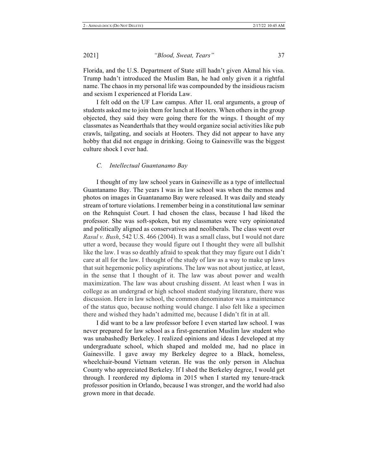Florida, and the U.S. Department of State still hadn't given Akmal his visa. Trump hadn't introduced the Muslim Ban, he had only given it a rightful name. The chaos in my personal life was compounded by the insidious racism and sexism I experienced at Florida Law.

I felt odd on the UF Law campus. After 1L oral arguments, a group of students asked me to join them for lunch at Hooters. When others in the group objected, they said they were going there for the wings. I thought of my classmates as Neanderthals that they would organize social activities like pub crawls, tailgating, and socials at Hooters. They did not appear to have any hobby that did not engage in drinking. Going to Gainesville was the biggest culture shock I ever had.

#### *C. Intellectual Guantanamo Bay*

I thought of my law school years in Gainesville as a type of intellectual Guantanamo Bay. The years I was in law school was when the memos and photos on images in Guantanamo Bay were released. It was daily and steady stream of torture violations. I remember being in a constitutional law seminar on the Rehnquist Court. I had chosen the class, because I had liked the professor. She was soft-spoken, but my classmates were very opinionated and politically aligned as conservatives and neoliberals. The class went over *Rasul v. Bush*, 542 U.S. 466 (2004). It was a small class, but I would not dare utter a word, because they would figure out I thought they were all bullshit like the law. I was so deathly afraid to speak that they may figure out I didn't care at all for the law. I thought of the study of law as a way to make up laws that suit hegemonic policy aspirations. The law was not about justice, at least, in the sense that I thought of it. The law was about power and wealth maximization. The law was about crushing dissent. At least when I was in college as an undergrad or high school student studying literature, there was discussion. Here in law school, the common denominator was a maintenance of the status quo, because nothing would change. I also felt like a specimen there and wished they hadn't admitted me, because I didn't fit in at all.

I did want to be a law professor before I even started law school. I was never prepared for law school as a first-generation Muslim law student who was unabashedly Berkeley. I realized opinions and ideas I developed at my undergraduate school, which shaped and molded me, had no place in Gainesville. I gave away my Berkeley degree to a Black, homeless, wheelchair-bound Vietnam veteran. He was the only person in Alachua County who appreciated Berkeley. If I shed the Berkeley degree, I would get through. I reordered my diploma in 2015 when I started my tenure-track professor position in Orlando, because I was stronger, and the world had also grown more in that decade.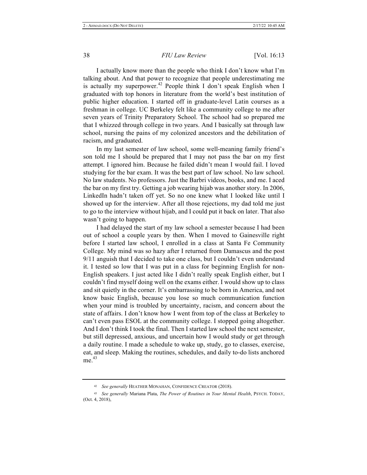I actually know more than the people who think I don't know what I'm talking about. And that power to recognize that people underestimating me is actually my superpower.<sup>42</sup> People think I don't speak English when I graduated with top honors in literature from the world's best institution of public higher education. I started off in graduate-level Latin courses as a freshman in college. UC Berkeley felt like a community college to me after seven years of Trinity Preparatory School. The school had so prepared me that I whizzed through college in two years. And I basically sat through law school, nursing the pains of my colonized ancestors and the debilitation of racism, and graduated.

In my last semester of law school, some well-meaning family friend's son told me I should be prepared that I may not pass the bar on my first attempt. I ignored him. Because he failed didn't mean I would fail. I loved studying for the bar exam. It was the best part of law school. No law school. No law students. No professors. Just the Barbri videos, books, and me. I aced the bar on my first try. Getting a job wearing hijab was another story. In 2006, LinkedIn hadn't taken off yet. So no one knew what I looked like until I showed up for the interview. After all those rejections, my dad told me just to go to the interview without hijab, and I could put it back on later. That also wasn't going to happen.

I had delayed the start of my law school a semester because I had been out of school a couple years by then. When I moved to Gainesville right before I started law school, I enrolled in a class at Santa Fe Community College. My mind was so hazy after I returned from Damascus and the post 9/11 anguish that I decided to take one class, but I couldn't even understand it. I tested so low that I was put in a class for beginning English for non-English speakers. I just acted like I didn't really speak English either, but I couldn't find myself doing well on the exams either. I would show up to class and sit quietly in the corner. It's embarrassing to be born in America, and not know basic English, because you lose so much communication function when your mind is troubled by uncertainty, racism, and concern about the state of affairs. I don't know how I went from top of the class at Berkeley to can't even pass ESOL at the community college. I stopped going altogether. And I don't think I took the final. Then I started law school the next semester, but still depressed, anxious, and uncertain how I would study or get through a daily routine. I made a schedule to wake up, study, go to classes, exercise, eat, and sleep. Making the routines, schedules, and daily to-do lists anchored  $me<sup>43</sup>$ 

<sup>42</sup> *See generally* HEATHER MONAHAN, CONFIDENCE CREATOR (2018).

<sup>43</sup> *See generally* Mariana Plata, *The Power of Routines in Your Mental Health*, PSYCH. TODAY, (Oct. 4, 2018),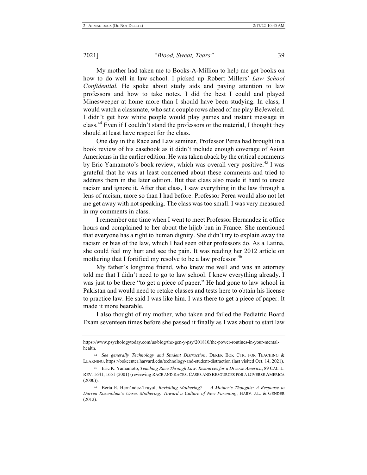My mother had taken me to Books-A-Million to help me get books on how to do well in law school. I picked up Robert Millers' *Law School Confidential.* He spoke about study aids and paying attention to law professors and how to take notes. I did the best I could and played Minesweeper at home more than I should have been studying. In class, I would watch a classmate, who sat a couple rows ahead of me play BeJeweled. I didn't get how white people would play games and instant message in class.<sup>44</sup> Even if I couldn't stand the professors or the material, I thought they should at least have respect for the class.

One day in the Race and Law seminar, Professor Perea had brought in a book review of his casebook as it didn't include enough coverage of Asian Americans in the earlier edition. He was taken aback by the critical comments by Eric Yamamoto's book review, which was overall very positive.<sup>45</sup> I was grateful that he was at least concerned about these comments and tried to address them in the later edition. But that class also made it hard to unsee racism and ignore it. After that class, I saw everything in the law through a lens of racism, more so than I had before. Professor Perea would also not let me get away with not speaking. The class was too small. I was very measured in my comments in class.

I remember one time when I went to meet Professor Hernandez in office hours and complained to her about the hijab ban in France. She mentioned that everyone has a right to human dignity. She didn't try to explain away the racism or bias of the law, which I had seen other professors do. As a Latina, she could feel my hurt and see the pain. It was reading her 2012 article on mothering that I fortified my resolve to be a law professor.<sup>46</sup>

My father's longtime friend, who knew me well and was an attorney told me that I didn't need to go to law school. I knew everything already. I was just to be there "to get a piece of paper." He had gone to law school in Pakistan and would need to retake classes and tests here to obtain his license to practice law. He said I was like him. I was there to get a piece of paper. It made it more bearable.

I also thought of my mother, who taken and failed the Pediatric Board Exam seventeen times before she passed it finally as I was about to start law

https://www.psychologytoday.com/us/blog/the-gen-y-psy/201810/the-power-routines-in-your-mentalhealth.

<sup>44</sup> *See generally Technology and Student Distraction*, DEREK BOK CTR. FOR TEACHING & LEARNING, https://bokcenter.harvard.edu/technology-and-student-distraction (last visited Oct. 14, 2021).

<sup>45</sup> Eric K. Yamamoto, *Teaching Race Through Law: Resources for a Diverse America*, 89 CAL. L. REV. 1641, 1651 (2001) (reviewing RACE AND RACES: CASES AND RESOURCES FOR A DIVERSE AMERICA  $(2000)$ ).

<sup>46</sup> Berta E. Hernández-Truyol, *Revisiting Mothering? — A Mother's Thoughts: A Response to Darren Rosenblum's Unsex Mothering: Toward a Culture of New Parenting*, HARV. J.L. & GENDER (2012).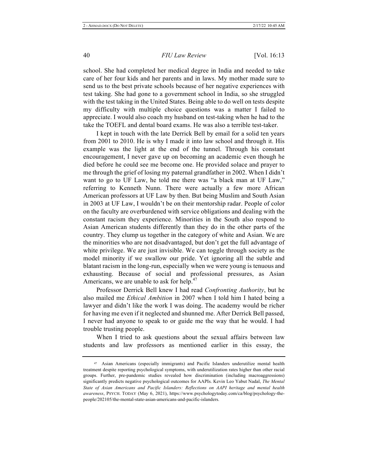school. She had completed her medical degree in India and needed to take care of her four kids and her parents and in laws. My mother made sure to send us to the best private schools because of her negative experiences with test taking. She had gone to a government school in India, so she struggled with the test taking in the United States. Being able to do well on tests despite my difficulty with multiple choice questions was a matter I failed to appreciate. I would also coach my husband on test-taking when he had to the take the TOEFL and dental board exams. He was also a terrible test-taker.

I kept in touch with the late Derrick Bell by email for a solid ten years from 2001 to 2010. He is why I made it into law school and through it. His example was the light at the end of the tunnel. Through his constant encouragement, I never gave up on becoming an academic even though he died before he could see me become one. He provided solace and prayer to me through the grief of losing my paternal grandfather in 2002. When I didn't want to go to UF Law, he told me there was "a black man at UF Law," referring to Kenneth Nunn. There were actually a few more African American professors at UF Law by then. But being Muslim and South Asian in 2003 at UF Law, I wouldn't be on their mentorship radar. People of color on the faculty are overburdened with service obligations and dealing with the constant racism they experience. Minorities in the South also respond to Asian American students differently than they do in the other parts of the country. They clump us together in the category of white and Asian. We are the minorities who are not disadvantaged, but don't get the full advantage of white privilege. We are just invisible. We can toggle through society as the model minority if we swallow our pride. Yet ignoring all the subtle and blatant racism in the long-run, especially when we were young is tenuous and exhausting. Because of social and professional pressures, as Asian Americans, we are unable to ask for help.<sup>47</sup>

Professor Derrick Bell knew I had read *Confronting Authority*, but he also mailed me *Ethical Ambition* in 2007 when I told him I hated being a lawyer and didn't like the work I was doing. The academy would be richer for having me even if it neglected and shunned me. After Derrick Bell passed, I never had anyone to speak to or guide me the way that he would. I had trouble trusting people.

When I tried to ask questions about the sexual affairs between law students and law professors as mentioned earlier in this essay, the

<sup>47</sup> Asian Americans (especially immigrants) and Pacific Islanders underutilize mental health treatment despite reporting psychological symptoms, with underutilization rates higher than other racial groups. Further, pre-pandemic studies revealed how discrimination (including macroaggressions) significantly predicts negative psychological outcomes for AAPIs. Kevin Leo Yabut Nadal, *The Mental State of Asian Americans and Pacific Islanders: Reflections on AAPI heritage and mental health awareness*, PSYCH. TODAY (May 6, 2021), https://www.psychologytoday.com/ca/blog/psychology-thepeople/202105/the-mental-state-asian-americans-and-pacific-islanders.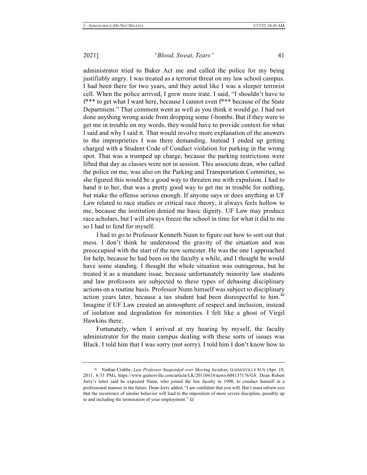administrator tried to Baker Act me and called the police for my being justifiably angry. I was treated as a terrorist threat on my law school campus. I had been there for two years, and they acted like I was a sleeper terrorist cell. When the police arrived, I grew more irate. I said, "I shouldn't have to f\*\*\* to get what I want here, because I cannot even f\*\*\* because of the State Department." That comment went as well as you think it would go. I had not done anything wrong aside from dropping some f-bombs. But if they were to get me in trouble on my words, they would have to provide context for what I said and why I said it. That would involve more explanation of the answers to the improprieties I was there demanding. Instead I ended up getting charged with a Student Code of Conduct violation for parking in the wrong spot. That was a trumped up charge, because the parking restrictions were lifted that day as classes were not in session. This associate dean, who called the police on me, was also on the Parking and Transportation Committee, so she figured this would be a good way to threaten me with expulsion. I had to hand it to her, that was a pretty good way to get me in trouble for nothing, but make the offense serious enough. If anyone says or does anything at UF Law related to race studies or critical race theory, it always feels hollow to me, because the institution denied me basic dignity. UF Law may produce race scholars, but I will always freeze the school in time for what it did to me so I had to fend for myself.

I had to go to Professor Kenneth Nunn to figure out how to sort out that mess. I don't think he understood the gravity of the situation and was preoccupied with the start of the new semester. He was the one I approached for help, because he had been on the faculty a while, and I thought he would have some standing. I thought the whole situation was outrageous, but he treated it as a mundane issue, because unfortunately minority law students and law professors are subjected to these types of debasing disciplinary actions on a routine basis. Professor Nunn himself was subject to disciplinary action years later, because a tax student had been disrespectful to him.<sup>48</sup> Imagine if UF Law created an atmosphere of respect and inclusion, instead of isolation and degradation for minorities. I felt like a ghost of Virgil Hawkins there.

Fortunately, when I arrived at my hearing by myself, the faculty administrator for the main campus dealing with these sorts of issues was Black. I told him that I was sorry (not sorry). I told him I don't know how to

<sup>48</sup> Nathan Crabbe, *Law Professor Suspended over Shoving Incident*, GAINESVILLE SUN (Apr. 18, 2011, 6:33 PM), https://www.gainesville.com/article/LK/20110418/news/604137176/GS. Dean Robert Jerry's letter said he expected Nunn, who joined the law faculty in 1990, to conduct himself in a professional manner in the future. Dean Jerry added, "I am confident that you will. But I must inform you that the recurrence of similar behavior will lead to the imposition of more severe discipline, possibly up to and including the termination of your employment." *Id.*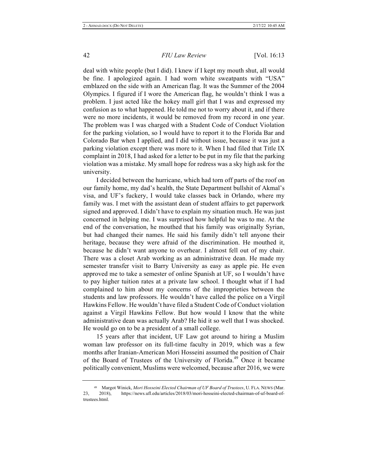deal with white people (but I did). I knew if I kept my mouth shut, all would be fine. I apologized again. I had worn white sweatpants with "USA" emblazed on the side with an American flag. It was the Summer of the 2004 Olympics. I figured if I wore the American flag, he wouldn't think I was a problem. I just acted like the hokey mall girl that I was and expressed my confusion as to what happened. He told me not to worry about it, and if there were no more incidents, it would be removed from my record in one year. The problem was I was charged with a Student Code of Conduct Violation for the parking violation, so I would have to report it to the Florida Bar and Colorado Bar when I applied, and I did without issue, because it was just a parking violation except there was more to it. When I had filed that Title IX complaint in 2018, I had asked for a letter to be put in my file that the parking violation was a mistake. My small hope for redress was a sky high ask for the university.

I decided between the hurricane, which had torn off parts of the roof on our family home, my dad's health, the State Department bullshit of Akmal's visa, and UF's fuckery, I would take classes back in Orlando, where my family was. I met with the assistant dean of student affairs to get paperwork signed and approved. I didn't have to explain my situation much. He was just concerned in helping me. I was surprised how helpful he was to me. At the end of the conversation, he mouthed that his family was originally Syrian, but had changed their names. He said his family didn't tell anyone their heritage, because they were afraid of the discrimination. He mouthed it, because he didn't want anyone to overhear. I almost fell out of my chair. There was a closet Arab working as an administrative dean. He made my semester transfer visit to Barry University as easy as apple pie. He even approved me to take a semester of online Spanish at UF, so I wouldn't have to pay higher tuition rates at a private law school. I thought what if I had complained to him about my concerns of the improprieties between the students and law professors. He wouldn't have called the police on a Virgil Hawkins Fellow. He wouldn't have filed a Student Code of Conduct violation against a Virgil Hawkins Fellow. But how would I know that the white administrative dean was actually Arab? He hid it so well that I was shocked. He would go on to be a president of a small college.

15 years after that incident, UF Law got around to hiring a Muslim woman law professor on its full-time faculty in 2019, which was a few months after Iranian-American Mori Hosseini assumed the position of Chair of the Board of Trustees of the University of Florida.<sup>49</sup> Once it became politically convenient, Muslims were welcomed, because after 2016, we were

<sup>49</sup> Margot Winick, *Mori Hosseini Elected Chairman of UF Board of Trustees*, U. FLA. NEWS (Mar. 23, 2018), https://news.ufl.edu/articles/2018/03/mori-hosseini-elected-chairman-of-uf-board-oftrustees.html.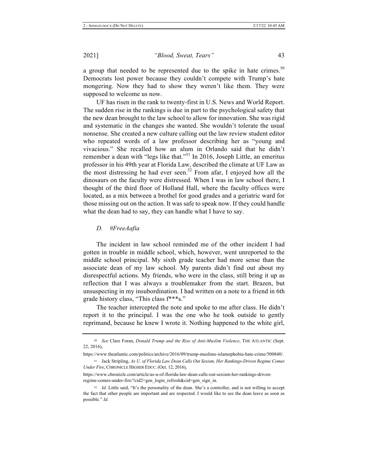a group that needed to be represented due to the spike in hate crimes.<sup>50</sup> Democrats lost power because they couldn't compete with Trump's hate mongering. Now they had to show they weren't like them. They were supposed to welcome us now.

UF has risen in the rank to twenty-first in U.S. News and World Report. The sudden rise in the rankings is due in part to the psychological safety that the new dean brought to the law school to allow for innovation. She was rigid and systematic in the changes she wanted. She wouldn't tolerate the usual nonsense. She created a new culture calling out the law review student editor who repeated words of a law professor describing her as "young and vivacious." She recalled how an alum in Orlando said that he didn't remember a dean with "legs like that."<sup>51</sup> In 2016, Joseph Little, an emeritus professor in his 49th year at Florida Law, described the climate at UF Law as the most distressing he had ever seen.<sup>52</sup> From afar, I enjoyed how all the dinosaurs on the faculty were distressed. When I was in law school there, I thought of the third floor of Holland Hall, where the faculty offices were located, as a mix between a brothel for good grades and a geriatric ward for those missing out on the action. It was safe to speak now. If they could handle what the dean had to say, they can handle what I have to say.

#### *D. #FreeAafia*

The incident in law school reminded me of the other incident I had gotten in trouble in middle school, which, however, went unreported to the middle school principal. My sixth grade teacher had more sense than the associate dean of my law school. My parents didn't find out about my disrespectful actions. My friends, who were in the class, still bring it up as reflection that I was always a troublemaker from the start. Brazen, but unsuspecting in my insubordination. I had written on a note to a friend in 6th grade history class, "This class f\*\*\*s."

The teacher intercepted the note and spoke to me after class. He didn't report it to the principal. I was the one who he took outside to gently reprimand, because he knew I wrote it. Nothing happened to the white girl,

<sup>50</sup> *See* Clare Foran, *Donald Trump and the Rise of Anti-Muslim Violence*, THE ATLANTIC (Sept. 22, 2016),

https://www.theatlantic.com/politics/archive/2016/09/trump-muslims-islamophobia-hate-crime/500840/.

<sup>51</sup> Jack Stripling, *As U. of Florida Law Dean Calls Out Sexism, Her Rankings-Driven Regime Comes Under Fire*, CHRONICLE HIGHER EDUC. (Oct. 12, 2016),

https://www.chronicle.com/article/as-u-of-florida-law-dean-calls-out-sexism-her-rankings-drivenregime-comes-under-fire/?cid2=gen\_login\_refresh&cid=gen\_sign\_in.

<sup>&</sup>lt;sup>52</sup> *Id.* Little said, "It's the personality of the dean. She's a controller, and is not willing to accept the fact that other people are important and are respected. I would like to see the dean leave as soon as possible." *Id.*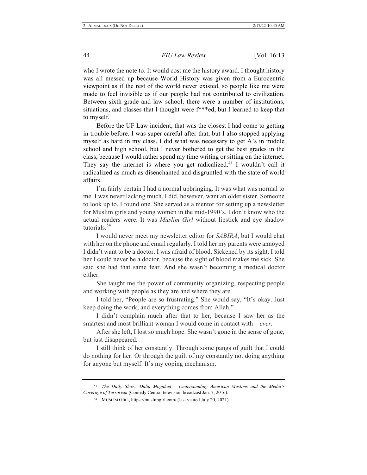who I wrote the note to. It would cost me the history award. I thought history was all messed up because World History was given from a Eurocentric viewpoint as if the rest of the world never existed, so people like me were made to feel invisible as if our people had not contributed to civilization. Between sixth grade and law school, there were a number of institutions, situations, and classes that I thought were f\*\*\*ed, but I learned to keep that to myself.

Before the UF Law incident, that was the closest I had come to getting in trouble before. I was super careful after that, but I also stopped applying myself as hard in my class. I did what was necessary to get A's in middle school and high school, but I never bothered to get the best grades in the class, because I would rather spend my time writing or sitting on the internet. They say the internet is where you get radicalized.<sup>53</sup> I wouldn't call it radicalized as much as disenchanted and disgruntled with the state of world affairs.

I'm fairly certain I had a normal upbringing. It was what was normal to me. I was never lacking much. I did, however, want an older sister. Someone to look up to. I found one. She served as a mentor for setting up a newsletter for Muslim girls and young women in the mid-1990's. I don't know who the actual readers were. It was *Muslim Girl* without lipstick and eye shadow tutorials.<sup>54</sup>

I would never meet my newsletter editor for *SABIRA*, but I would chat with her on the phone and email regularly. I told her my parents were annoyed I didn't want to be a doctor. I was afraid of blood. Sickened by its sight. I told her I could never be a doctor, because the sight of blood makes me sick. She said she had that same fear. And she wasn't becoming a medical doctor either.

She taught me the power of community organizing, respecting people and working with people as they are and where they are.

I told her, "People are so frustrating." She would say, "It's okay. Just keep doing the work, and everything comes from Allah."

I didn't complain much after that to her, because I saw her as the smartest and most brilliant woman I would come in contact with—*ever.*

After she left, I lost so much hope. She wasn't gone in the sense of gone, but just disappeared.

I still think of her constantly. Through some pangs of guilt that I could do nothing for her. Or through the guilt of my constantly not doing anything for anyone but myself. It's my coping mechanism.

<sup>53</sup> *The Daily Show: Dalia Mogahed – Understanding American Muslims and the Media's Coverage of Terrorism* (Comedy Central television broadcast Jan. 7, 2016).

<sup>54</sup> MUSLIM GIRL, https://muslimgirl.com/ (last visited July 20, 2021).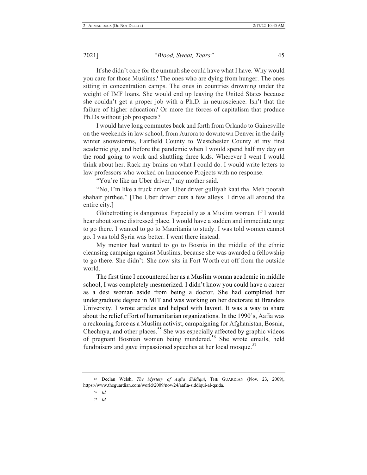If she didn't care for the ummah she could have what I have. Why would you care for those Muslims? The ones who are dying from hunger. The ones sitting in concentration camps. The ones in countries drowning under the weight of IMF loans. She would end up leaving the United States because she couldn't get a proper job with a Ph.D. in neuroscience. Isn't that the failure of higher education? Or more the forces of capitalism that produce Ph.Ds without job prospects?

I would have long commutes back and forth from Orlando to Gainesville on the weekends in law school, from Aurora to downtown Denver in the daily winter snowstorms, Fairfield County to Westchester County at my first academic gig, and before the pandemic when I would spend half my day on the road going to work and shuttling three kids. Wherever I went I would think about her. Rack my brains on what I could do. I would write letters to law professors who worked on Innocence Projects with no response.

"You're like an Uber driver," my mother said.

"No, I'm like a truck driver. Uber driver gulliyah kaat tha. Meh poorah shahair pirthee." [The Uber driver cuts a few alleys. I drive all around the entire city.]

Globetrotting is dangerous. Especially as a Muslim woman. If I would hear about some distressed place. I would have a sudden and immediate urge to go there. I wanted to go to Mauritania to study. I was told women cannot go. I was told Syria was better. I went there instead.

My mentor had wanted to go to Bosnia in the middle of the ethnic cleansing campaign against Muslims, because she was awarded a fellowship to go there. She didn't. She now sits in Fort Worth cut off from the outside world.

The first time I encountered her as a Muslim woman academic in middle school, I was completely mesmerized. I didn't know you could have a career as a desi woman aside from being a doctor. She had completed her undergraduate degree in MIT and was working on her doctorate at Brandeis University. I wrote articles and helped with layout. It was a way to share about the relief effort of humanitarian organizations. In the 1990's, Aafia was a reckoning force as a Muslim activist, campaigning for Afghanistan, Bosnia, Chechnya, and other places.<sup>55</sup> She was especially affected by graphic videos of pregnant Bosnian women being murdered.56 She wrote emails, held fundraisers and gave impassioned speeches at her local mosque.<sup>57</sup>

<sup>55</sup> Declan Welsh, *The Mystery of Aafia Siddiqui*, THE GUARDIAN (Nov. 23, 2009), https://www.theguardian.com/world/2009/nov/24/aafia-siddiqui-al-qaida.

<sup>56</sup> *Id.*

<sup>57</sup> *Id.*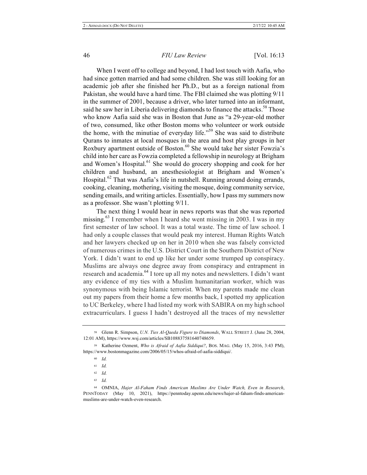When I went off to college and beyond, I had lost touch with Aafia, who had since gotten married and had some children. She was still looking for an academic job after she finished her Ph.D., but as a foreign national from Pakistan, she would have a hard time. The FBI claimed she was plotting 9/11 in the summer of 2001, because a driver, who later turned into an informant, said he saw her in Liberia delivering diamonds to finance the attacks.<sup>58</sup> Those who know Aafia said she was in Boston that June as "a 29-year-old mother of two, consumed, like other Boston moms who volunteer or work outside the home, with the minutiae of everyday life."<sup>59</sup> She was said to distribute Qurans to inmates at local mosques in the area and host play groups in her Roxbury apartment outside of Boston. $60$  She would take her sister Fowzia's child into her care as Fowzia completed a fellowship in neurology at Brigham and Women's Hospital.<sup>61</sup> She would do grocery shopping and cook for her children and husband, an anesthesiologist at Brigham and Women's Hospital.<sup>62</sup> That was Aafia's life in nutshell. Running around doing errands, cooking, cleaning, mothering, visiting the mosque, doing community service, sending emails, and writing articles. Essentially, how I pass my summers now as a professor. She wasn't plotting 9/11.

The next thing I would hear in news reports was that she was reported missing.<sup>63</sup> I remember when I heard she went missing in 2003. I was in my first semester of law school. It was a total waste. The time of law school. I had only a couple classes that would peak my interest. Human Rights Watch and her lawyers checked up on her in 2010 when she was falsely convicted of numerous crimes in the U.S. District Court in the Southern District of New York. I didn't want to end up like her under some trumped up conspiracy. Muslims are always one degree away from conspiracy and entrapment in research and academia.<sup>64</sup> I tore up all my notes and newsletters. I didn't want any evidence of my ties with a Muslim humanitarian worker, which was synonymous with being Islamic terrorist. When my parents made me clean out my papers from their home a few months back, I spotted my application to UC Berkeley, where I had listed my work with SABIRA on my high school extracurriculars. I guess I hadn't destroyed all the traces of my newsletter

<sup>58</sup> Glenn R. Simpson, *U.N. Ties Al-Qaeda Figure to Diamonds*, WALL STREET J. (June 28, 2004, 12:01 AM), https://www.wsj.com/articles/SB108837581640748659.

<sup>59</sup> Katherine Ozment, *Who is Afraid of Aafia Siddiqui?*, BOS. MAG. (May 15, 2016, 3:43 PM), https://www.bostonmagazine.com/2006/05/15/whos-afraid-of-aafia-siddiqui/.

<sup>60</sup> *Id.*

<sup>61</sup> *Id.*

<sup>62</sup> *Id.*

<sup>63</sup> *Id.*

<sup>64</sup> OMNIA, *Hajer Al-Faham Finds American Muslims Are Under Watch, Even in Research*, PENNTODAY (May 10, 2021), https://penntoday.upenn.edu/news/hajer-al-faham-finds-americanmuslims-are-under-watch-even-research.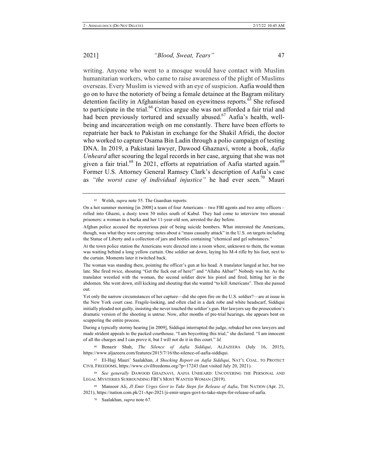2021] *"Blood, Sweat, Tears"* 47

writing. Anyone who went to a mosque would have contact with Muslim humanitarian workers, who came to raise awareness of the plight of Muslims overseas. Every Muslim is viewed with an eye of suspicion. Aafia would then go on to have the notoriety of being a female detainee at the Bagram military detention facility in Afghanistan based on eyewitness reports.<sup>65</sup> She refused to participate in the trial.<sup>66</sup> Critics argue she was not afforded a fair trial and had been previously tortured and sexually abused.<sup>67</sup> Aafia's health, wellbeing and incarceration weigh on me constantly. There have been efforts to repatriate her back to Pakistan in exchange for the Shakil Afridi, the doctor who worked to capture Osama Bin Ladin through a polio campaign of testing DNA. In 2019, a Pakistani lawyer, Dawood Ghaznavi, wrote a book, *Aafia Unheard* after scouring the legal records in her case, arguing that she was not given a fair trial.<sup>68</sup> In 2021, efforts at repatriation of Aafia started again.<sup>69</sup> Former U.S. Attorney General Ramsey Clark's description of Aafia's case as *"the worst case of individual injustice"* he had ever seen.70 Mauri

On a hot summer morning [in 2008] a team of four Americans – two FBI agents and two army officers – rolled into Ghazni, a dusty town 50 miles south of Kabul. They had come to interview two unusual prisoners: a woman in a burka and her 11-year-old son, arrested the day before.

Afghan police accused the mysterious pair of being suicide bombers. What interested the Americans, though, was what they were carrying: notes about a "mass casualty attack" in the U.S. on targets including the Statue of Liberty and a collection of jars and bottles containing "chemical and gel substances."

At the town police station the Americans were directed into a room where, unknown to them, the woman was waiting behind a long yellow curtain. One soldier sat down, laying his M-4 rifle by his foot, next to the curtain. Moments later it twitched back.

The woman was standing there, pointing the officer's gun at his head. A translator lunged at her, but too late. She fired twice, shouting "Get the fuck out of here!" and "Allahu Akbar!" Nobody was hit. As the translator wrestled with the woman, the second soldier drew his pistol and fired, hitting her in the abdomen. She went down, still kicking and shouting that she wanted "to kill Americans". Then she passed out.

Yet only the narrow circumstances of her capture—did she open fire on the U.S. soldier?—are at issue in the New York court case. Fragile-looking, and often clad in a dark robe and white headscarf, Siddiqui initially pleaded not guilty, insisting she never touched the soldier's gun. Her lawyers say the prosecution's dramatic version of the shooting is untrue. Now, after months of pre-trial hearings, she appears bent on scuppering the entire process.

During a typically stormy hearing [in 2009], Siddiqui interrupted the judge, rebuked her own lawyers and made strident appeals to the packed courthouse. "I am boycotting this trial," she declared. "I am innocent of all the charges and I can prove it, but I will not do it in this court." *Id.* 

<sup>66</sup> Benazir Shah, *The Silence of Aafia Siddiqui*, ALJAZEERA (July 16, 2015), https://www.aljazeera.com/features/2015/7/16/the-silence-of-aafia-siddiqui.

<sup>67</sup> El-Hajj Mauri' Saalakhan, *A Shocking Report on Aafia Siddiqui*, NAT'L COAL. TO PROTECT CIVIL FREEDOMS, https://www.civilfreedoms.org/?p=17243 (last visited July 20, 2021).

<sup>68</sup> *See generally* DAWOOD GHAZNAVI, AAFIA UNHEARD: UNCOVERING THE PERSONAL AND LEGAL MYSTERIES SURROUNDING FBI'S MOST WANTED WOMAN (2019).

<sup>69</sup> Mansoor Ali, *JI Emir Urges Govt to Take Steps for Release of Aafia*, THE NATION (Apr. 21, 2021), https://nation.com.pk/21-Apr-2021/ji-emir-urges-govt-to-take-steps-for-release-of-aafia.

<sup>70</sup> Saalakhan, *supra* note 67.

<sup>65</sup> Welsh, *supra* note 55. The Guardian reports: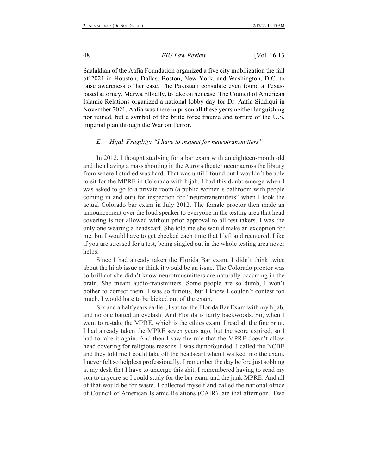Saalakhan of the Aafia Foundation organized a five city mobilization the fall of 2021 in Houston, Dallas, Boston, New York, and Washington, D.C. to raise awareness of her case. The Pakistani consulate even found a Texasbased attorney, Marwa Elbially, to take on her case. The Council of American Islamic Relations organized a national lobby day for Dr. Aafia Siddiqui in November 2021. Aafia was there in prison all these years neither languishing nor ruined, but a symbol of the brute force trauma and torture of the U.S. imperial plan through the War on Terror.

### *E. Hijab Fragility: "I have to inspect for neurotransmitters"*

In 2012, I thought studying for a bar exam with an eighteen-month old and then having a mass shooting in the Aurora theater occur across the library from where I studied was hard. That was until I found out I wouldn't be able to sit for the MPRE in Colorado with hijab. I had this doubt emerge when I was asked to go to a private room (a public women's bathroom with people coming in and out) for inspection for "neurotransmitters" when I took the actual Colorado bar exam in July 2012. The female proctor then made an announcement over the loud speaker to everyone in the testing area that head covering is not allowed without prior approval to all test takers. I was the only one wearing a headscarf. She told me she would make an exception for me, but I would have to get checked each time that I left and reentered. Like if you are stressed for a test, being singled out in the whole testing area never helps.

Since I had already taken the Florida Bar exam, I didn't think twice about the hijab issue or think it would be an issue. The Colorado proctor was so brilliant she didn't know neurotransmitters are naturally occurring in the brain. She meant audio-transmitters. Some people are so dumb, I won't bother to correct them. I was so furious, but I know I couldn't contest too much. I would hate to be kicked out of the exam.

Six and a half years earlier, I sat for the Florida Bar Exam with my hijab, and no one batted an eyelash. And Florida is fairly backwoods. So, when I went to re-take the MPRE, which is the ethics exam, I read all the fine print. I had already taken the MPRE seven years ago, but the score expired, so I had to take it again. And then I saw the rule that the MPRE doesn't allow head covering for religious reasons. I was dumbfounded. I called the NCBE and they told me I could take off the headscarf when I walked into the exam. I never felt so helpless professionally. I remember the day before just sobbing at my desk that I have to undergo this shit. I remembered having to send my son to daycare so I could study for the bar exam and the junk MPRE. And all of that would be for waste. I collected myself and called the national office of Council of American Islamic Relations (CAIR) late that afternoon. Two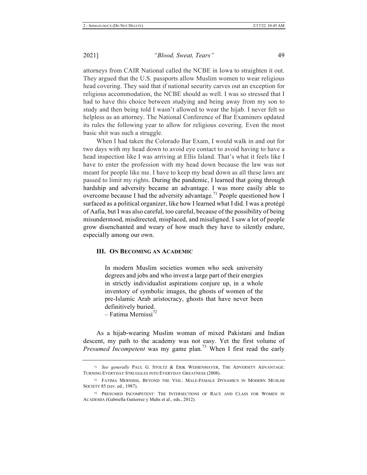attorneys from CAIR National called the NCBE in Iowa to straighten it out. They argued that the U.S. passports allow Muslim women to wear religious head covering. They said that if national security carves out an exception for religious accommodation, the NCBE should as well. I was so stressed that I had to have this choice between studying and being away from my son to study and then being told I wasn't allowed to wear the hijab. I never felt so helpless as an attorney. The National Conference of Bar Examiners updated its rules the following year to allow for religious covering. Even the most basic shit was such a struggle.

When I had taken the Colorado Bar Exam, I would walk in and out for two days with my head down to avoid eye contact to avoid having to have a head inspection like I was arriving at Ellis Island. That's what it feels like I have to enter the profession with my head down because the law was not meant for people like me. I have to keep my head down as all these laws are passed to limit my rights. During the pandemic, I learned that going through hardship and adversity became an advantage. I was more easily able to overcome because I had the adversity advantage.<sup>71</sup> People questioned how I surfaced as a political organizer, like how I learned what I did. I was a protégé of Aafia, but I was also careful, too careful, because of the possibility of being misunderstood, misdirected, misplaced, and misaligned. I saw a lot of people grow disenchanted and weary of how much they have to silently endure, especially among our own.

# **III. ON BECOMING AN ACADEMIC**

In modern Muslim societies women who seek university degrees and jobs and who invest a large part of their energies in strictly individualist aspirations conjure up, in a whole inventory of symbolic images, the ghosts of women of the pre-Islamic Arab aristocracy, ghosts that have never been definitively buried.

– Fatima Mernissi<sup>72</sup>

As a hijab-wearing Muslim woman of mixed Pakistani and Indian descent, my path to the academy was not easy. Yet the first volume of *Presumed Incompetent* was my game plan.73 When I first read the early

<sup>71</sup> *See generally* PAUL G. STOLTZ & ERIK WEIHENMAYER, THE ADVERSITY ADVANTAGE: TURNING EVERYDAY STRUGGLES INTO EVERYDAY GREATNESS (2008).

<sup>72</sup> FATIMA MERNISSI, BEYOND THE VEIL: MALE-FEMALE DYNAMICS IN MODERN MUSLIM SOCIETY 85 (rev. ed., 1987).

<sup>73</sup> PRESUMED INCOMPETENT: THE INTERSECTIONS OF RACE AND CLASS FOR WOMEN IN ACADEMIA (Gabriella Gutierrez y Muhs et al., eds., 2012).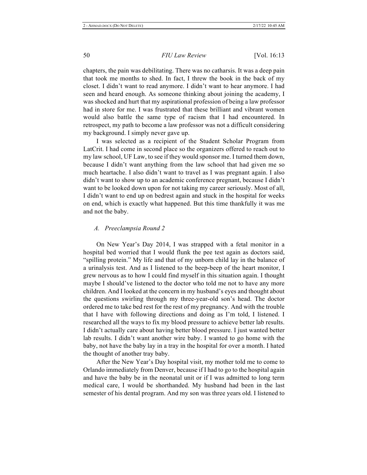chapters, the pain was debilitating. There was no catharsis. It was a deep pain that took me months to shed. In fact, I threw the book in the back of my closet. I didn't want to read anymore. I didn't want to hear anymore. I had seen and heard enough. As someone thinking about joining the academy, I was shocked and hurt that my aspirational profession of being a law professor had in store for me. I was frustrated that these brilliant and vibrant women would also battle the same type of racism that I had encountered. In retrospect, my path to become a law professor was not a difficult considering my background. I simply never gave up.

I was selected as a recipient of the Student Scholar Program from LatCrit. I had come in second place so the organizers offered to reach out to my law school, UF Law, to see if they would sponsor me. I turned them down, because I didn't want anything from the law school that had given me so much heartache. I also didn't want to travel as I was pregnant again. I also didn't want to show up to an academic conference pregnant, because I didn't want to be looked down upon for not taking my career seriously. Most of all, I didn't want to end up on bedrest again and stuck in the hospital for weeks on end, which is exactly what happened. But this time thankfully it was me and not the baby.

#### *A. Preeclampsia Round 2*

On New Year's Day 2014, I was strapped with a fetal monitor in a hospital bed worried that I would flunk the pee test again as doctors said, "spilling protein." My life and that of my unborn child lay in the balance of a urinalysis test. And as I listened to the beep-beep of the heart monitor, I grew nervous as to how I could find myself in this situation again. I thought maybe I should've listened to the doctor who told me not to have any more children. And I looked at the concern in my husband's eyes and thought about the questions swirling through my three-year-old son's head. The doctor ordered me to take bed rest for the rest of my pregnancy. And with the trouble that I have with following directions and doing as I'm told, I listened. I researched all the ways to fix my blood pressure to achieve better lab results. I didn't actually care about having better blood pressure. I just wanted better lab results. I didn't want another wire baby. I wanted to go home with the baby, not have the baby lay in a tray in the hospital for over a month. I hated the thought of another tray baby.

After the New Year's Day hospital visit, my mother told me to come to Orlando immediately from Denver, because if I had to go to the hospital again and have the baby be in the neonatal unit or if I was admitted to long term medical care, I would be shorthanded. My husband had been in the last semester of his dental program. And my son was three years old. I listened to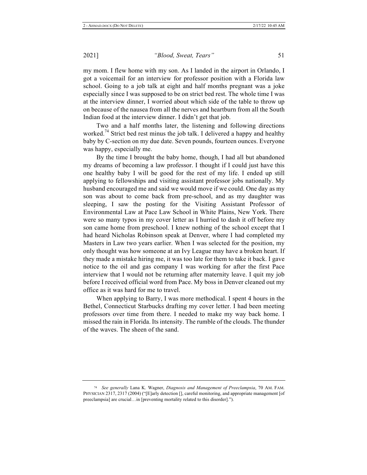my mom. I flew home with my son. As I landed in the airport in Orlando, I got a voicemail for an interview for professor position with a Florida law school. Going to a job talk at eight and half months pregnant was a joke especially since I was supposed to be on strict bed rest. The whole time I was at the interview dinner, I worried about which side of the table to throw up on because of the nausea from all the nerves and heartburn from all the South Indian food at the interview dinner. I didn't get that job.

Two and a half months later, the listening and following directions worked.<sup>74</sup> Strict bed rest minus the job talk. I delivered a happy and healthy baby by C-section on my due date. Seven pounds, fourteen ounces. Everyone was happy, especially me.

By the time I brought the baby home, though, I had all but abandoned my dreams of becoming a law professor. I thought if I could just have this one healthy baby I will be good for the rest of my life. I ended up still applying to fellowships and visiting assistant professor jobs nationally. My husband encouraged me and said we would move if we could. One day as my son was about to come back from pre-school, and as my daughter was sleeping, I saw the posting for the Visiting Assistant Professor of Environmental Law at Pace Law School in White Plains, New York. There were so many typos in my cover letter as I hurried to dash it off before my son came home from preschool. I knew nothing of the school except that I had heard Nicholas Robinson speak at Denver, where I had completed my Masters in Law two years earlier. When I was selected for the position, my only thought was how someone at an Ivy League may have a broken heart. If they made a mistake hiring me, it was too late for them to take it back. I gave notice to the oil and gas company I was working for after the first Pace interview that I would not be returning after maternity leave. I quit my job before I received official word from Pace. My boss in Denver cleaned out my office as it was hard for me to travel.

When applying to Barry, I was more methodical. I spent 4 hours in the Bethel, Connecticut Starbucks drafting my cover letter. I had been meeting professors over time from there. I needed to make my way back home. I missed the rain in Florida. Its intensity. The rumble of the clouds. The thunder of the waves. The sheen of the sand.

<sup>74</sup> *See generally* Lana K. Wagner, *Diagnosis and Management of Preeclampsia*, 70 AM. FAM. PHYSICIAN 2317, 2317 (2004) ("[E]arly detection [], careful monitoring, and appropriate management [of preeclampsia] are crucial…in [preventing mortality related to this disorder].").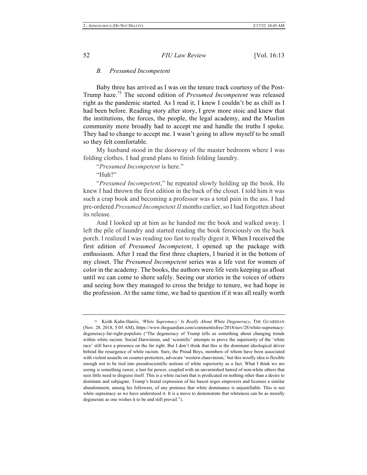# *B. Presumed Incompetent*

Baby three has arrived as I was on the tenure track courtesy of the Post-Trump haze.75 The second edition of *Presumed Incompetent* was released right as the pandemic started. As I read it, I knew I couldn't be as chill as I had been before. Reading story after story, I grew more stoic and knew that the institutions, the forces, the people, the legal academy, and the Muslim community more broadly had to accept me and handle the truths I spoke. They had to change to accept me. I wasn't going to allow myself to be small so they felt comfortable.

My husband stood in the doorway of the master bedroom where I was folding clothes. I had grand plans to finish folding laundry.

"*Presumed Incompetent* is here."

"Huh?"

"*Presumed Incompetent*," he repeated slowly holding up the book. He knew I had thrown the first edition in the back of the closet. I told him it was such a crap book and becoming a professor was a total pain in the ass. I had pre-ordered *Presumed Incompetent II* months earlier, so I had forgotten about its release.

And I looked up at him as he handed me the book and walked away. I left the pile of laundry and started reading the book ferociously on the back porch. I realized I was reading too fast to really digest it. When I received the first edition of *Presumed Incompetent*, I opened up the package with enthusiasm. After I read the first three chapters, I buried it in the bottom of my closet. The *Presumed Incompetent* series was a life vest for women of color in the academy. The books, the authors were life vests keeping us afloat until we can come to shore safely. Seeing our stories in the voices of others and seeing how they managed to cross the bridge to tenure, we had hope in the profession. At the same time, we had to question if it was all really worth

<sup>75</sup> Keith Kahn-Harris, *'White Supremacy' Is Really About White Degeneracy*, THE GUARDIAN (Nov. 28, 2018, 5:05 AM), https://www.theguardian.com/commentisfree/2018/nov/28/white-supremacydegeneracy-far-right-populists ("The degeneracy of Trump tells us something about changing trends within white racism. Social Darwinism, and 'scientific' attempts to prove the superiority of the 'white race' still have a presence on the far right. But I don't think that this is the dominant ideological driver behind the resurgence of white racism. Sure, the Proud Boys, members of whom have been associated with violent assaults on counter-protesters, advocate 'western chauvinism,' but this woolly idea is flexible enough not to be tied into pseudoscientific notions of white superiority as a fact. What I think we are seeing is something rawer, a lust for power, coupled with an unvarnished hatred of non-white others that sees little need to disguise itself. This is a white racism that is predicated on nothing other than a desire to dominate and subjugate. Trump's brutal expression of his basest urges empowers and licenses a similar abandonment, among his followers, of any pretence that white dominance is unjustifiable. This is not white supremacy as we have understood it. It is a move to demonstrate that whiteness can be as morally degenerate as one wishes it to be and still prevail.").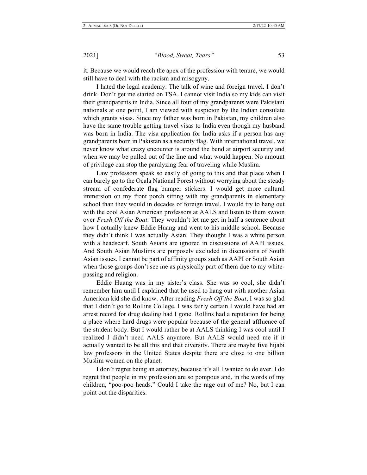it. Because we would reach the apex of the profession with tenure, we would still have to deal with the racism and misogyny.

I hated the legal academy. The talk of wine and foreign travel. I don't drink. Don't get me started on TSA. I cannot visit India so my kids can visit their grandparents in India. Since all four of my grandparents were Pakistani nationals at one point, I am viewed with suspicion by the Indian consulate which grants visas. Since my father was born in Pakistan, my children also have the same trouble getting travel visas to India even though my husband was born in India. The visa application for India asks if a person has any grandparents born in Pakistan as a security flag. With international travel, we never know what crazy encounter is around the bend at airport security and when we may be pulled out of the line and what would happen. No amount of privilege can stop the paralyzing fear of traveling while Muslim.

Law professors speak so easily of going to this and that place when I can barely go to the Ocala National Forest without worrying about the steady stream of confederate flag bumper stickers. I would get more cultural immersion on my front porch sitting with my grandparents in elementary school than they would in decades of foreign travel. I would try to hang out with the cool Asian American professors at AALS and listen to them swoon over *Fresh Off the Boat*. They wouldn't let me get in half a sentence about how I actually knew Eddie Huang and went to his middle school. Because they didn't think I was actually Asian. They thought I was a white person with a headscarf. South Asians are ignored in discussions of AAPI issues. And South Asian Muslims are purposely excluded in discussions of South Asian issues. I cannot be part of affinity groups such as AAPI or South Asian when those groups don't see me as physically part of them due to my whitepassing and religion.

Eddie Huang was in my sister's class. She was so cool, she didn't remember him until I explained that he used to hang out with another Asian American kid she did know. After reading *Fresh Off the Boat*, I was so glad that I didn't go to Rollins College. I was fairly certain I would have had an arrest record for drug dealing had I gone. Rollins had a reputation for being a place where hard drugs were popular because of the general affluence of the student body. But I would rather be at AALS thinking I was cool until I realized I didn't need AALS anymore. But AALS would need me if it actually wanted to be all this and that diversity. There are maybe five hijabi law professors in the United States despite there are close to one billion Muslim women on the planet.

I don't regret being an attorney, because it's all I wanted to do ever. I do regret that people in my profession are so pompous and, in the words of my children, "poo-poo heads." Could I take the rage out of me? No, but I can point out the disparities.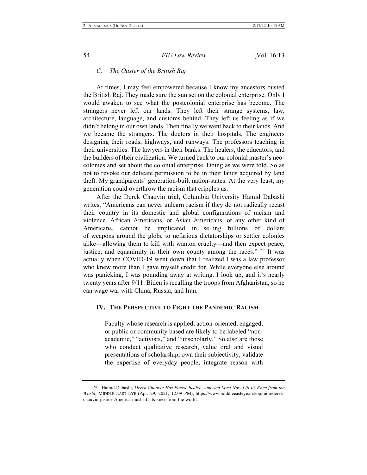# *C. The Ouster of the British Raj*

At times, I may feel empowered because I know my ancestors ousted the British Raj. They made sure the sun set on the colonial enterprise. Only I would awaken to see what the postcolonial enterprise has become. The strangers never left our lands. They left their strange systems, law, architecture, language, and customs behind. They left us feeling as if we didn't belong in our own lands. Then finally we went back to their lands. And we became the strangers. The doctors in their hospitals. The engineers designing their roads, highways, and runways. The professors teaching in their universities. The lawyers in their banks. The healers, the educators, and the builders of their civilization. We turned back to our colonial master's neocolonies and set about the colonial enterprise. Doing as we were told. So as not to revoke our delicate permission to be in their lands acquired by land theft. My grandparents' generation-built nation-states. At the very least, my generation could overthrow the racism that cripples us.

After the Derek Chauvin trial, Columbia University Hamid Dabashi writes, "Americans can never unlearn racism if they do not radically recast their country in its domestic and global configurations of racism and violence. African Americans, or Asian Americans, or any other kind of Americans, cannot be implicated in selling billions of dollars of weapons around the globe to nefarious dictatorships or settler colonies alike—allowing them to kill with wanton cruelty—and then expect peace, justice, and equanimity in their own county among the races. $\frac{1}{10}$  76 It was actually when COVID-19 went down that I realized I was a law professor who knew more than I gave myself credit for. While everyone else around was panicking, I was pounding away at writing. I look up, and it's nearly twenty years after 9/11. Biden is recalling the troops from Afghanistan, so he can wage war with China, Russia, and Iran.

## **IV. THE PERSPECTIVE TO FIGHT THE PANDEMIC RACISM**

 Faculty whose research is applied, action-oriented, engaged, or public or community based are likely to be labeled "nonacademic," "activists," and "unscholarly." So also are those who conduct qualitative research, value oral and visual presentations of scholarship, own their subjectivity, validate the expertise of everyday people, integrate reason with

<sup>76</sup> Hamid Dabashi, *Derek Chauvin Has Faced Justice. America Must Now Lift Its Knee from the World*, MIDDLE EAST EYE (Apr. 29, 2021, 12:09 PM), https://www.middleeasteye.net/opinion/derekchauvin-justice-America-must-lift-its-knee-from-the-world.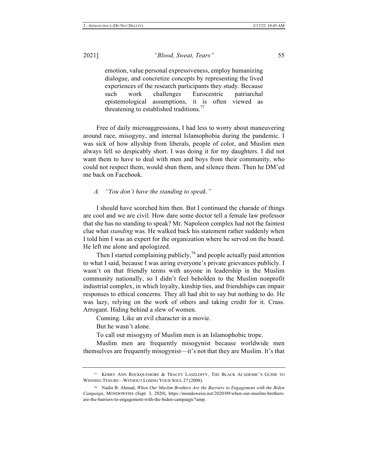emotion, value personal expressiveness, employ humanizing dialogue, and concretize concepts by representing the lived experiences of the research participants they study. Because such work challenges Eurocentric patriarchal epistemological assumptions, it is often viewed as threatening to established traditions.<sup>77</sup>

Free of daily microaggressions, I had less to worry about maneuvering around race, misogyny, and internal Islamophobia during the pandemic. I was sick of how allyship from liberals, people of color, and Muslim men always fell so despicably short. I was doing it for my daughters. I did not want them to have to deal with men and boys from their community, who could not respect them, would shun them, and silence them. Then he DM'ed me back on Facebook.

*A. "You don't have the standing to speak."* 

I should have scorched him then. But I continued the charade of things are cool and we are civil. How dare some doctor tell a female law professor that she has no standing to speak? Mr. Napoleon complex had not the faintest clue what *standing* was. He walked back his statement rather suddenly when I told him I was an expert for the organization where he served on the board. He left me alone and apologized.

Then I started complaining publicly,  $78$  and people actually paid attention to what I said, because I was airing everyone's private grievances publicly. I wasn't on that friendly terms with anyone in leadership in the Muslim community nationally, so I didn't feel beholden to the Muslim nonprofit industrial complex, in which loyalty, kinship ties, and friendships can impair responses to ethical concerns. They all had shit to say but nothing to do. He was lazy, relying on the work of others and taking credit for it. Crass. Arrogant. Hiding behind a slew of women.

Cunning. Like an evil character in a movie.

But he wasn't alone.

To call out misogyny of Muslim men is an Islamophobic trope.

Muslim men are frequently misogynist because worldwide men themselves are frequently misogynist—it's not that they are Muslim. It's that

<sup>77</sup> KERRY ANN ROCKQUEMORE & TRACEY LASZLOFFY, THE BLACK ACADEMIC'S GUIDE TO WINNING TENURE—WITHOUT LOSING YOUR SOUL 27 (2008).

<sup>78</sup> Nadia B. Ahmad, *When Our Muslim Brothers Are the Barriers to Engagement with the Biden Campaign*, MONDOWEISS (Sept. 3, 2020), https://mondoweiss.net/2020/09/when-our-muslim-brothersare-the-barriers-to-engagement-with-the-biden-campaign/?amp.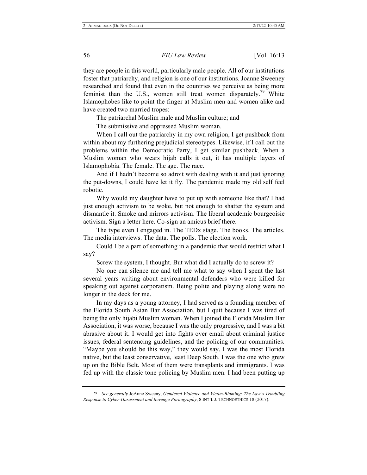they are people in this world, particularly male people. All of our institutions foster that patriarchy, and religion is one of our institutions. Joanne Sweeney researched and found that even in the countries we perceive as being more feminist than the U.S., women still treat women disparately.<sup>79</sup> White Islamophobes like to point the finger at Muslim men and women alike and have created two married tropes:

The patriarchal Muslim male and Muslim culture; and

The submissive and oppressed Muslim woman.

When I call out the patriarchy in my own religion, I get pushback from within about my furthering prejudicial stereotypes. Likewise, if I call out the problems within the Democratic Party, I get similar pushback. When a Muslim woman who wears hijab calls it out, it has multiple layers of Islamophobia. The female. The age. The race.

And if I hadn't become so adroit with dealing with it and just ignoring the put-downs, I could have let it fly. The pandemic made my old self feel robotic.

Why would my daughter have to put up with someone like that? I had just enough activism to be woke, but not enough to shatter the system and dismantle it. Smoke and mirrors activism. The liberal academic bourgeoisie activism. Sign a letter here. Co-sign an amicus brief there.

The type even I engaged in. The TEDx stage. The books. The articles. The media interviews. The data. The polls. The election work.

Could I be a part of something in a pandemic that would restrict what I say?

Screw the system, I thought. But what did I actually do to screw it?

No one can silence me and tell me what to say when I spent the last several years writing about environmental defenders who were killed for speaking out against corporatism. Being polite and playing along were no longer in the deck for me.

In my days as a young attorney, I had served as a founding member of the Florida South Asian Bar Association, but I quit because I was tired of being the only hijabi Muslim woman. When I joined the Florida Muslim Bar Association, it was worse, because I was the only progressive, and I was a bit abrasive about it. I would get into fights over email about criminal justice issues, federal sentencing guidelines, and the policing of our communities. "Maybe you should be this way," they would say. I was the most Florida native, but the least conservative, least Deep South. I was the one who grew up on the Bible Belt. Most of them were transplants and immigrants. I was fed up with the classic tone policing by Muslim men. I had been putting up

<sup>79</sup> *See generally* JoAnne Sweeny, *Gendered Violence and Victim-Blaming: The Law's Troubling Response to Cyber-Harassment and Revenge Pornography*, 8 INT'L J. TECHNOETHICS 18 (2017).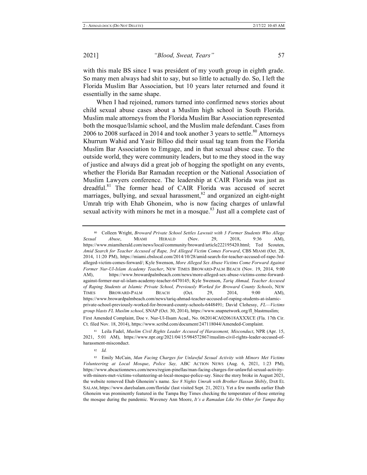with this male BS since I was president of my youth group in eighth grade. So many men always had shit to say, but so little to actually do. So, I left the Florida Muslim Bar Association, but 10 years later returned and found it essentially in the same shape.

When I had rejoined, rumors turned into confirmed news stories about child sexual abuse cases about a Muslim high school in South Florida. Muslim male attorneys from the Florida Muslim Bar Association represented both the mosque/Islamic school, and the Muslim male defendant. Cases from 2006 to 2008 surfaced in 2014 and took another 3 years to settle.<sup>80</sup> Attorneys Khurrum Wahid and Yasir Billoo did their usual tag team from the Florida Muslim Bar Association to Emgage, and in that sexual abuse case. To the outside world, they were community leaders, but to me they stood in the way of justice and always did a great job of hogging the spotlight on any events, whether the Florida Bar Ramadan reception or the National Association of Muslim Lawyers conference. The leadership at CAIR Florida was just as dreadful.<sup>81</sup> The former head of CAIR Florida was accused of secret marriages, bullying, and sexual harassment,<sup>82</sup> and organized an eight-night Umrah trip with Ehab Ghoneim, who is now facing charges of unlawful sexual activity with minors he met in a mosque.<sup>83</sup> Just all a complete cast of

First Amended Complaint, Doe v. Nur-Ul-Ilsam Acad., No. 062014CA020618AXXXCE (Fla. 17th Cir. Ct. filed Nov. 18, 2014), https://www.scribd.com/document/247118044/Amended-Complaint.

<sup>81</sup> Leila Fadel, *Muslim Civil Rights Leader Accused of Harassment, Misconduct*, NPR (Apr. 15, 2021, 5:01 AM), https://www.npr.org/2021/04/15/984572867/muslim-civil-rights-leader-accused-ofharassment-misconduct.

<sup>82</sup> *Id.*

<sup>83</sup> Emily McCain, *Man Facing Charges for Unlawful Sexual Activity with Minors Met Victims Volunteering at Local Mosque*, *Police Say,* ABC ACTION NEWS (Aug. 6, 2021, 1:23 PM), https://www.abcactionnews.com/news/region-pinellas/man-facing-charges-for-unlawful-sexual-activitywith-minors-met-victims-volunteering-at-local-mosque-police-say. Since the story broke in August 2021, the website removed Ehab Ghoneim's name. *See 8 Nights Umrah with Brother Hassan Shibly*, DAR EL SALAM, https://www.darelsalam.com/florida/ (last visited Sept. 21, 2021). Yet a few months earlier Ehab Ghoneim was prominently featured in the Tampa Bay Times checking the temperature of those entering the mosque during the pandemic. Waveney Ann Moore, *It's a Ramadan Like No Other for Tampa Bay* 

<sup>80</sup> Colleen Wright, *Broward Private School Settles Lawsuit with 3 Former Students Who Allege Sexual Abuse*, MIAMI HERALD (Nov. 29, 2018, 9:36 AM), https://www.miamiherald.com/news/local/community/broward/article222195420.html; Ted Scouten, *Amid Search for Teacher Accused of Rape, 3rd Alleged Victim Comes Forward*, CBS MIAMI (Oct. 28, 2014, 11:20 PM), https://miami.cbslocal.com/2014/10/28/amid-search-for-teacher-accused-of-rape-3rdalleged-victim-comes-forward/; Kyle Swenson, *More Alleged Sex Abuse Victims Come Forward Against Former Nur-Ul-Islam Academy Teacher*, NEW TIMES BROWARD-PALM BEACH (Nov. 19, 2014, 9:00 AM), https://www.browardpalmbeach.com/news/more-alleged-sex-abuse-victims-come-forwardagainst-former-nur-ul-islam-academy-teacher-6470145; Kyle Swenson, *Tariq Ahmad, Teacher Accused of Raping Students at Islamic Private School, Previously Worked for Broward County Schools*, NEW TIMES BROWARD-PALM BEACH (Oct. 29, 2014, 9:00 AM), https://www.browardpalmbeach.com/news/tariq-ahmad-teacher-accused-of-raping-students-at-islamicprivate-school-previously-worked-for-broward-county-schools-6448491; David Clohessy, *FL—Victims group blasts FL Muslim school*, SNAP (Oct. 30, 2014), https://www.snapnetwork.org/fl\_blastmuslim;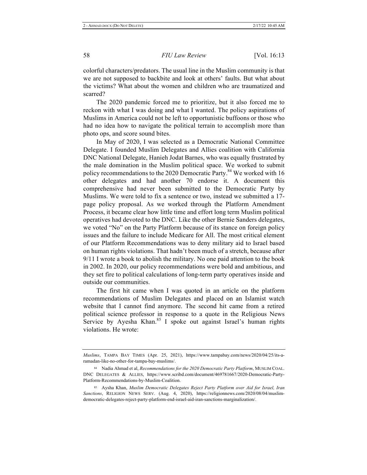colorful characters/predators. The usual line in the Muslim community is that we are not supposed to backbite and look at others' faults. But what about the victims? What about the women and children who are traumatized and scarred?

The 2020 pandemic forced me to prioritize, but it also forced me to reckon with what I was doing and what I wanted. The policy aspirations of Muslims in America could not be left to opportunistic buffoons or those who had no idea how to navigate the political terrain to accomplish more than photo ops, and score sound bites.

In May of 2020, I was selected as a Democratic National Committee Delegate. I founded Muslim Delegates and Allies coalition with California DNC National Delegate, Hanieh Jodat Barnes, who was equally frustrated by the male domination in the Muslim political space. We worked to submit policy recommendations to the 2020 Democratic Party.<sup>84</sup> We worked with 16 other delegates and had another 70 endorse it. A document this comprehensive had never been submitted to the Democratic Party by Muslims. We were told to fix a sentence or two, instead we submitted a 17 page policy proposal. As we worked through the Platform Amendment Process, it became clear how little time and effort long term Muslim political operatives had devoted to the DNC. Like the other Bernie Sanders delegates, we voted "No" on the Party Platform because of its stance on foreign policy issues and the failure to include Medicare for All. The most critical element of our Platform Recommendations was to deny military aid to Israel based on human rights violations. That hadn't been much of a stretch, because after 9/11 I wrote a book to abolish the military. No one paid attention to the book in 2002. In 2020, our policy recommendations were bold and ambitious, and they set fire to political calculations of long-term party operatives inside and outside our communities.

The first hit came when I was quoted in an article on the platform recommendations of Muslim Delegates and placed on an Islamist watch website that I cannot find anymore. The second hit came from a retired political science professor in response to a quote in the Religious News Service by Ayesha Khan.<sup>85</sup> I spoke out against Israel's human rights violations. He wrote:

*Muslims*, TAMPA BAY TIMES (Apr. 25, 2021), https://www.tampabay.com/news/2020/04/25/its-aramadan-like-no-other-for-tampa-bay-muslims/.

<sup>84</sup> Nadia Ahmad et al, *Recommendations for the 2020 Democratic Party Platform*, MUSLIM COAL. DNC DELEGATES & ALLIES, https://www.scribd.com/document/469781667/2020-Democratic-Party-Platform-Recommendations-by-Muslim-Coalition.

<sup>85</sup> Aysha Khan, *Muslim Democratic Delegates Reject Party Platform over Aid for Israel, Iran Sanctions*, RELIGION NEWS SERV. (Aug. 4, 2020), https://religionnews.com/2020/08/04/muslimdemocratic-delegates-reject-party-platform-end-israel-aid-iran-sanctions-marginalization/.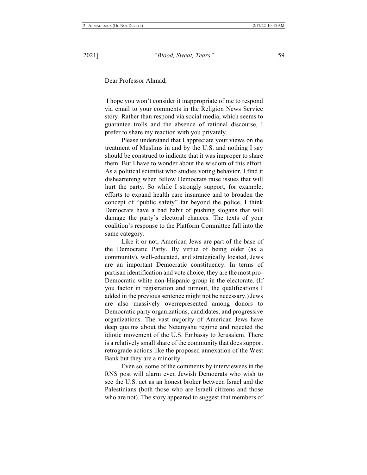Dear Professor Ahmad,

 I hope you won't consider it inappropriate of me to respond via email to your comments in the Religion News Service story. Rather than respond via social media, which seems to guarantee trolls and the absence of rational discourse, I prefer to share my reaction with you privately.

 Please understand that I appreciate your views on the treatment of Muslims in and by the U.S. and nothing I say should be construed to indicate that it was improper to share them. But I have to wonder about the wisdom of this effort. As a political scientist who studies voting behavior, I find it disheartening when fellow Democrats raise issues that will hurt the party. So while I strongly support, for example, efforts to expand health care insurance and to broaden the concept of "public safety" far beyond the police, I think Democrats have a bad habit of pushing slogans that will damage the party's electoral chances. The texts of your coalition's response to the Platform Committee fall into the same category.

 Like it or not, American Jews are part of the base of the Democratic Party. By virtue of being older (as a community), well-educated, and strategically located, Jews are an important Democratic constituency. In terms of partisan identification and vote choice, they are the most pro-Democratic white non-Hispanic group in the electorate. (If you factor in registration and turnout, the qualifications I added in the previous sentence might not be necessary.) Jews are also massively overrepresented among donors to Democratic party organizations, candidates, and progressive organizations. The vast majority of American Jews have deep qualms about the Netanyahu regime and rejected the idiotic movement of the U.S. Embassy to Jerusalem. There is a relatively small share of the community that does support retrograde actions like the proposed annexation of the West Bank but they are a minority.

 Even so, some of the comments by interviewees in the RNS post will alarm even Jewish Democrats who wish to see the U.S. act as an honest broker between Israel and the Palestinians (both those who are Israeli citizens and those who are not). The story appeared to suggest that members of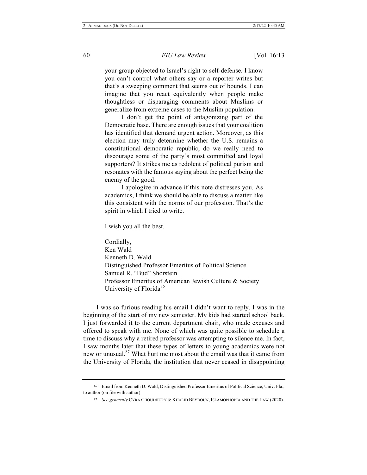your group objected to Israel's right to self-defense. I know you can't control what others say or a reporter writes but that's a sweeping comment that seems out of bounds. I can imagine that you react equivalently when people make thoughtless or disparaging comments about Muslims or generalize from extreme cases to the Muslim population.

 I don't get the point of antagonizing part of the Democratic base. There are enough issues that your coalition has identified that demand urgent action. Moreover, as this election may truly determine whether the U.S. remains a constitutional democratic republic, do we really need to discourage some of the party's most committed and loyal supporters? It strikes me as redolent of political purism and resonates with the famous saying about the perfect being the enemy of the good.

 I apologize in advance if this note distresses you. As academics, I think we should be able to discuss a matter like this consistent with the norms of our profession. That's the spirit in which I tried to write.

I wish you all the best.

Cordially, Ken Wald Kenneth D. Wald Distinguished Professor Emeritus of Political Science Samuel R. "Bud" Shorstein Professor Emeritus of American Jewish Culture & Society University of Florida<sup>86</sup>

I was so furious reading his email I didn't want to reply. I was in the beginning of the start of my new semester. My kids had started school back. I just forwarded it to the current department chair, who made excuses and offered to speak with me. None of which was quite possible to schedule a time to discuss why a retired professor was attempting to silence me. In fact, I saw months later that these types of letters to young academics were not new or unusual.<sup>87</sup> What hurt me most about the email was that it came from the University of Florida, the institution that never ceased in disappointing

<sup>86</sup> Email from Kenneth D. Wald, Distinguished Professor Emeritus of Political Science, Univ. Fla., to author (on file with author).

<sup>87</sup> *See generally* CYRA CHOUDHURY & KHALID BEYDOUN, ISLAMOPHOBIA AND THE LAW (2020).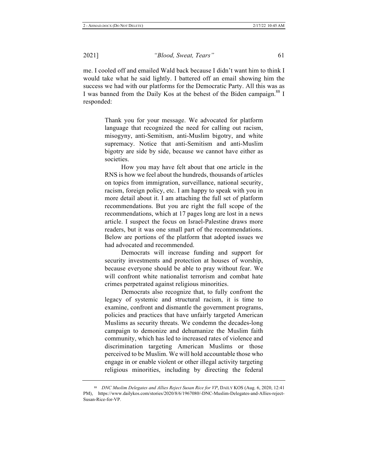me. I cooled off and emailed Wald back because I didn't want him to think I would take what he said lightly. I battered off an email showing him the success we had with our platforms for the Democratic Party. All this was as I was banned from the Daily Kos at the behest of the Biden campaign.<sup>88</sup> I responded:

> Thank you for your message. We advocated for platform language that recognized the need for calling out racism, misogyny, anti-Semitism, anti-Muslim bigotry, and white supremacy. Notice that anti-Semitism and anti-Muslim bigotry are side by side, because we cannot have either as societies.

> How you may have felt about that one article in the RNS is how we feel about the hundreds, thousands of articles on topics from immigration, surveillance, national security, racism, foreign policy, etc. I am happy to speak with you in more detail about it. I am attaching the full set of platform recommendations. But you are right the full scope of the recommendations, which at 17 pages long are lost in a news article. I suspect the focus on Israel-Palestine draws more readers, but it was one small part of the recommendations. Below are portions of the platform that adopted issues we had advocated and recommended.

> Democrats will increase funding and support for security investments and protection at houses of worship, because everyone should be able to pray without fear. We will confront white nationalist terrorism and combat hate crimes perpetrated against religious minorities.

> Democrats also recognize that, to fully confront the legacy of systemic and structural racism, it is time to examine, confront and dismantle the government programs, policies and practices that have unfairly targeted American Muslims as security threats. We condemn the decades-long campaign to demonize and dehumanize the Muslim faith community, which has led to increased rates of violence and discrimination targeting American Muslims or those perceived to be Muslim. We will hold accountable those who engage in or enable violent or other illegal activity targeting religious minorities, including by directing the federal

<sup>88</sup> *DNC Muslim Delegates and Allies Reject Susan Rice for VP*, DAILY KOS (Aug. 6, 2020, 12:41 PM), https://www.dailykos.com/stories/2020/8/6/1967080/-DNC-Muslim-Delegates-and-Allies-reject-Susan-Rice-for-VP.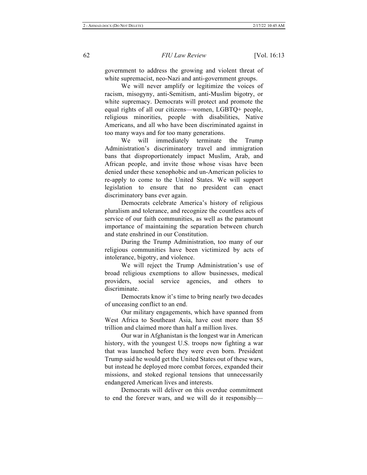government to address the growing and violent threat of white supremacist, neo-Nazi and anti-government groups.

 We will never amplify or legitimize the voices of racism, misogyny, anti-Semitism, anti-Muslim bigotry, or white supremacy. Democrats will protect and promote the equal rights of all our citizens—women, LGBTQ+ people, religious minorities, people with disabilities, Native Americans, and all who have been discriminated against in too many ways and for too many generations.

We will immediately terminate the Trump Administration's discriminatory travel and immigration bans that disproportionately impact Muslim, Arab, and African people, and invite those whose visas have been denied under these xenophobic and un-American policies to re-apply to come to the United States. We will support legislation to ensure that no president can enact discriminatory bans ever again.

 Democrats celebrate America's history of religious pluralism and tolerance, and recognize the countless acts of service of our faith communities, as well as the paramount importance of maintaining the separation between church and state enshrined in our Constitution.

 During the Trump Administration, too many of our religious communities have been victimized by acts of intolerance, bigotry, and violence.

 We will reject the Trump Administration's use of broad religious exemptions to allow businesses, medical providers, social service agencies, and others to discriminate.

 Democrats know it's time to bring nearly two decades of unceasing conflict to an end.

 Our military engagements, which have spanned from West Africa to Southeast Asia, have cost more than \$5 trillion and claimed more than half a million lives.

 Our war in Afghanistan is the longest war in American history, with the youngest U.S. troops now fighting a war that was launched before they were even born. President Trump said he would get the United States out of these wars, but instead he deployed more combat forces, expanded their missions, and stoked regional tensions that unnecessarily endangered American lives and interests.

 Democrats will deliver on this overdue commitment to end the forever wars, and we will do it responsibly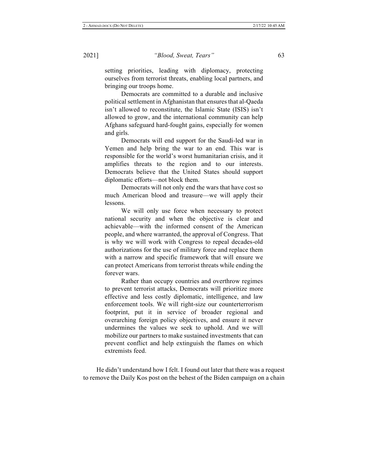setting priorities, leading with diplomacy, protecting ourselves from terrorist threats, enabling local partners, and bringing our troops home.

 Democrats are committed to a durable and inclusive political settlement in Afghanistan that ensures that al-Qaeda isn't allowed to reconstitute, the Islamic State (ISIS) isn't allowed to grow, and the international community can help Afghans safeguard hard-fought gains, especially for women and girls.

 Democrats will end support for the Saudi-led war in Yemen and help bring the war to an end. This war is responsible for the world's worst humanitarian crisis, and it amplifies threats to the region and to our interests. Democrats believe that the United States should support diplomatic efforts—not block them.

 Democrats will not only end the wars that have cost so much American blood and treasure—we will apply their lessons.

 We will only use force when necessary to protect national security and when the objective is clear and achievable—with the informed consent of the American people, and where warranted, the approval of Congress. That is why we will work with Congress to repeal decades-old authorizations for the use of military force and replace them with a narrow and specific framework that will ensure we can protect Americans from terrorist threats while ending the forever wars.

 Rather than occupy countries and overthrow regimes to prevent terrorist attacks, Democrats will prioritize more effective and less costly diplomatic, intelligence, and law enforcement tools. We will right-size our counterterrorism footprint, put it in service of broader regional and overarching foreign policy objectives, and ensure it never undermines the values we seek to uphold. And we will mobilize our partners to make sustained investments that can prevent conflict and help extinguish the flames on which extremists feed.

He didn't understand how I felt. I found out later that there was a request to remove the Daily Kos post on the behest of the Biden campaign on a chain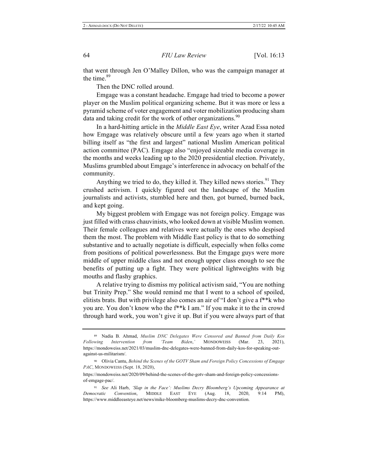that went through Jen O'Malley Dillon, who was the campaign manager at the time  $89$ 

Then the DNC rolled around.

Emgage was a constant headache. Emgage had tried to become a power player on the Muslim political organizing scheme. But it was more or less a pyramid scheme of voter engagement and voter mobilization producing sham data and taking credit for the work of other organizations.<sup>90</sup>

In a hard-hitting article in the *Middle East Eye*, writer Azad Essa noted how Emgage was relatively obscure until a few years ago when it started billing itself as "the first and largest" national Muslim American political action committee (PAC). Emgage also "enjoyed sizeable media coverage in the months and weeks leading up to the 2020 presidential election. Privately, Muslims grumbled about Emgage's interference in advocacy on behalf of the community.

Anything we tried to do, they killed it. They killed news stories.<sup>91</sup> They crushed activism. I quickly figured out the landscape of the Muslim journalists and activists, stumbled here and then, got burned, burned back, and kept going.

My biggest problem with Emgage was not foreign policy. Emgage was just filled with crass chauvinists, who looked down at visible Muslim women. Their female colleagues and relatives were actually the ones who despised them the most. The problem with Middle East policy is that to do something substantive and to actually negotiate is difficult, especially when folks come from positions of political powerlessness. But the Emgage guys were more middle of upper middle class and not enough upper class enough to see the benefits of putting up a fight. They were political lightweights with big mouths and flashy graphics.

A relative trying to dismiss my political activism said, "You are nothing but Trinity Prep." She would remind me that I went to a school of spoiled, elitists brats. But with privilege also comes an air of "I don't give a f\*\*k who you are. You don't know who the f\*\*k I am." If you make it to the in crowd through hard work, you won't give it up. But if you were always part of that

<sup>89</sup> Nadia B. Ahmad, *Muslim DNC Delegates Were Censored and Banned from Daily Kos Following Intervention from 'Team Biden*,*'* MONDOWEISS (Mar. 23, 2021), https://mondoweiss.net/2021/03/muslim-dnc-delegates-were-banned-from-daily-kos-for-speaking-outagainst-us-militarism/.

<sup>90</sup> Olivia Cantu, *Behind the Scenes of the GOTV Sham and Foreign Policy Concessions of Emgage PAC*, MONDOWEISS (Sept. 18, 2020),

https://mondoweiss.net/2020/09/behind-the-scenes-of-the-gotv-sham-and-foreign-policy-concessionsof-emgage-pac/.

<sup>91</sup> *See* Ali Harb, *'Slap in the Face': Muslims Decry Bloomberg's Upcoming Appearance at Democratic Convention*, MIDDLE EAST EYE (Aug. 18, 2020, 9:14 PM), https://www.middleeasteye.net/news/mike-bloomberg-muslims-decry-dnc-convention.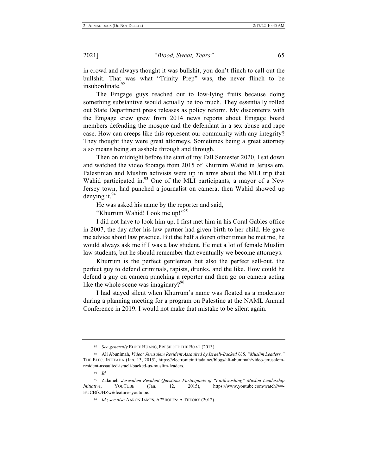in crowd and always thought it was bullshit, you don't flinch to call out the bullshit. That was what "Trinity Prep" was, the never flinch to be insubordinate<sup>92</sup>

The Emgage guys reached out to low-lying fruits because doing something substantive would actually be too much. They essentially rolled out State Department press releases as policy reform. My discontents with the Emgage crew grew from 2014 news reports about Emgage board members defending the mosque and the defendant in a sex abuse and rape case. How can creeps like this represent our community with any integrity? They thought they were great attorneys. Sometimes being a great attorney also means being an asshole through and through.

Then on midnight before the start of my Fall Semester 2020, I sat down and watched the video footage from 2015 of Khurrum Wahid in Jerusalem. Palestinian and Muslim activists were up in arms about the MLI trip that Wahid participated in. $93$  One of the MLI participants, a mayor of a New Jersey town, had punched a journalist on camera, then Wahid showed up denying it.  $94$ 

He was asked his name by the reporter and said,

"Khurrum Wahid! Look me up!"<sup>95</sup>

I did not have to look him up. I first met him in his Coral Gables office in 2007, the day after his law partner had given birth to her child. He gave me advice about law practice. But the half a dozen other times he met me, he would always ask me if I was a law student. He met a lot of female Muslim law students, but he should remember that eventually we become attorneys.

Khurrum is the perfect gentleman but also the perfect sell-out, the perfect guy to defend criminals, rapists, drunks, and the like. How could he defend a guy on camera punching a reporter and then go on camera acting like the whole scene was imaginary? $96$ 

I had stayed silent when Khurrum's name was floated as a moderator during a planning meeting for a program on Palestine at the NAML Annual Conference in 2019. I would not make that mistake to be silent again.

<sup>92</sup> *See generally* EDDIE HUANG, FRESH OFF THE BOAT (2013).

<sup>93</sup> Ali Abunimah, *Video: Jerusalem Resident Assaulted by Israeli-Backed U.S. "Muslim Leaders,"*  THE ELEC. INTIFADA (Jan. 13, 2015), https://electronicintifada.net/blogs/ali-abunimah/video-jerusalemresident-assaulted-israeli-backed-us-muslim-leaders.

<sup>94</sup> *Id.*

<sup>95</sup> Zalameh, *Jerusalem Resident Questions Participants of "Faithwashing" Muslim Leadership Initiative*, YOUTUBE (Jan. 12, 2015), https://www.youtube.com/watch?v=- EUCBfxJHZw&feature=youtu.be.

<sup>96</sup> *Id.*; *see also* AARON JAMES, A\*\*HOLES: A THEORY (2012).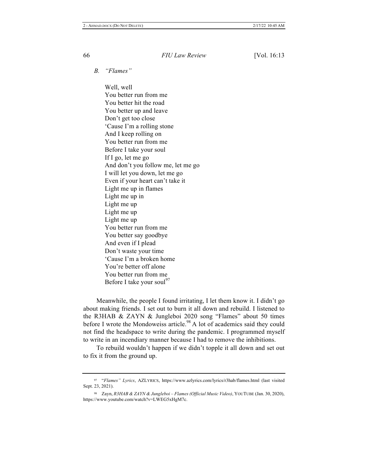*B. "Flames"* 

Well, well You better run from me You better hit the road You better up and leave Don't get too close 'Cause I'm a rolling stone And I keep rolling on You better run from me Before I take your soul If I go, let me go And don't you follow me, let me go I will let you down, let me go Even if your heart can't take it Light me up in flames Light me up in Light me up Light me up Light me up You better run from me You better say goodbye And even if I plead Don't waste your time 'Cause I'm a broken home You're better off alone You better run from me Before I take your soul<sup>97</sup>

Meanwhile, the people I found irritating, I let them know it. I didn't go about making friends. I set out to burn it all down and rebuild. I listened to the R3HAB & ZAYN & Jungleboi 2020 song "Flames" about 50 times before I wrote the Mondoweiss article.<sup>98</sup> A lot of academics said they could not find the headspace to write during the pandemic. I programmed myself to write in an incendiary manner because I had to remove the inhibitions.

To rebuild wouldn't happen if we didn't topple it all down and set out to fix it from the ground up.

<sup>97</sup> "*Flames" Lyrics*, AZLYRICS, https://www.azlyrics.com/lyrics/r3hab/flames.html (last visited Sept. 23, 2021).

<sup>98</sup> Zayn, *R3HAB & ZAYN & Jungleboi – Flames (Official Music Video)*, YOUTUBE (Jan. 30, 2020), https://www.youtube.com/watch?v=LWEG5xHgM7c.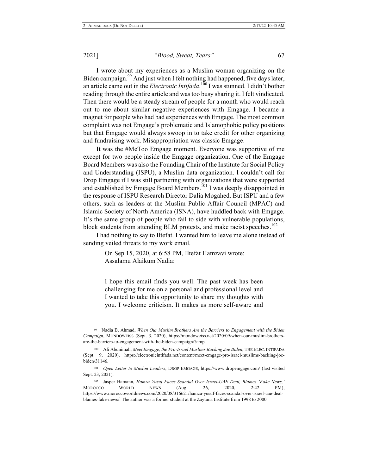I wrote about my experiences as a Muslim woman organizing on the Biden campaign.<sup>99</sup> And just when I felt nothing had happened, five days later, an article came out in the *Electronic Intifada*.<sup>100</sup> I was stunned. I didn't bother reading through the entire article and was too busy sharing it. I felt vindicated. Then there would be a steady stream of people for a month who would reach out to me about similar negative experiences with Emgage. I became a magnet for people who had bad experiences with Emgage. The most common complaint was not Emgage's problematic and Islamophobic policy positions but that Emgage would always swoop in to take credit for other organizing and fundraising work. Misappropriation was classic Emgage.

It was the #MeToo Emgage moment. Everyone was supportive of me except for two people inside the Emgage organization. One of the Emgage Board Members was also the Founding Chair of the Institute for Social Policy and Understanding (ISPU), a Muslim data organization. I couldn't call for Drop Emgage if I was still partnering with organizations that were supported and established by Emgage Board Members.<sup>101</sup> I was deeply disappointed in the response of ISPU Research Director Dalia Mogahed. But ISPU and a few others, such as leaders at the Muslim Public Affair Council (MPAC) and Islamic Society of North America (ISNA), have huddled back with Emgage. It's the same group of people who fail to side with vulnerable populations, block students from attending BLM protests, and make racist speeches.<sup>102</sup>

I had nothing to say to Iltefat. I wanted him to leave me alone instead of sending veiled threats to my work email.

> On Sep 15, 2020, at 6:58 PM, Iltefat Hamzavi wrote: Assalamu Alaikum Nadia:

I hope this email finds you well. The past week has been challenging for me on a personal and professional level and I wanted to take this opportunity to share my thoughts with you. I welcome criticism. It makes us more self-aware and

<sup>99</sup> Nadia B. Ahmad, *When Our Muslim Brothers Are the Barriers to Engagement with the Biden Campaign*, MONDOWEISS (Sept. 3, 2020), https://mondoweiss.net/2020/09/when-our-muslim-brothersare-the-barriers-to-engagement-with-the-biden-campaign/?amp.

<sup>100</sup> Ali Abunimah, *Meet Emgage, the Pro-Israel Muslims Backing Joe Biden*, THE ELEC. INTIFADA (Sept. 9, 2020), https://electronicintifada.net/content/meet-emgage-pro-israel-muslims-backing-joebiden/31146.

<sup>101</sup> *Open Letter to Muslim Leaders*, DROP EMGAGE, https://www.dropemgage.com/ (last visited Sept. 23, 2021).

<sup>102</sup> Jasper Hamann, *Hamza Yusuf Faces Scandal Over Israel-UAE Deal, Blames 'Fake News,'*  MOROCCO WORLD NEWS  $(Aug. 26, 2020, 2:42 \text{ PM}),$ https://www.moroccoworldnews.com/2020/08/316621/hamza-yusuf-faces-scandal-over-israel-uae-dealblames-fake-news/. The author was a former student at the Zaytuna Institute from 1998 to 2000.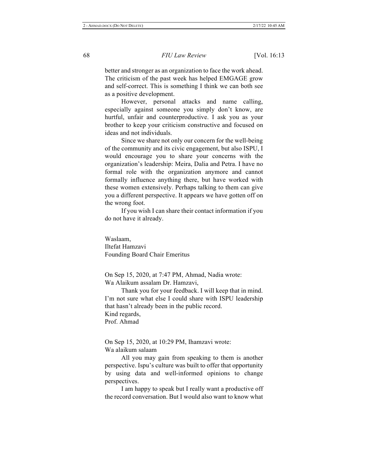better and stronger as an organization to face the work ahead. The criticism of the past week has helped EMGAGE grow and self-correct. This is something I think we can both see as a positive development.

 However, personal attacks and name calling, especially against someone you simply don't know, are hurtful, unfair and counterproductive. I ask you as your brother to keep your criticism constructive and focused on ideas and not individuals.

 Since we share not only our concern for the well-being of the community and its civic engagement, but also ISPU, I would encourage you to share your concerns with the organization's leadership: Meira, Dalia and Petra. I have no formal role with the organization anymore and cannot formally influence anything there, but have worked with these women extensively. Perhaps talking to them can give you a different perspective. It appears we have gotten off on the wrong foot.

 If you wish I can share their contact information if you do not have it already.

Waslaam, Iltefat Hamzavi Founding Board Chair Emeritus

On Sep 15, 2020, at 7:47 PM, Ahmad, Nadia wrote: Wa Alaikum assalam Dr. Hamzavi,

 Thank you for your feedback. I will keep that in mind. I'm not sure what else I could share with ISPU leadership that hasn't already been in the public record. Kind regards, Prof. Ahmad

On Sep 15, 2020, at 10:29 PM, Ihamzavi wrote: Wa alaikum salaam

 All you may gain from speaking to them is another perspective. Ispu's culture was built to offer that opportunity by using data and well-informed opinions to change perspectives.

 I am happy to speak but I really want a productive off the record conversation. But I would also want to know what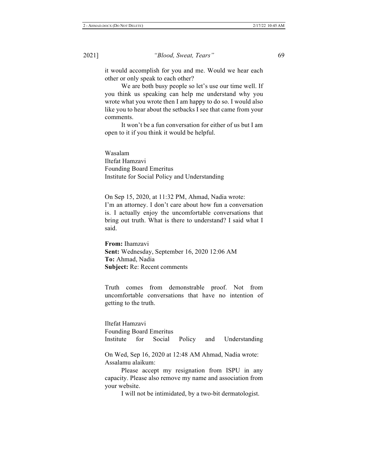it would accomplish for you and me. Would we hear each other or only speak to each other?

We are both busy people so let's use our time well. If you think us speaking can help me understand why you wrote what you wrote then I am happy to do so. I would also like you to hear about the setbacks I see that came from your comments.

 It won't be a fun conversation for either of us but I am open to it if you think it would be helpful.

Wasalam Iltefat Hamzavi Founding Board Emeritus Institute for Social Policy and Understanding

On Sep 15, 2020, at 11:32 PM, Ahmad, Nadia wrote: I'm an attorney. I don't care about how fun a conversation is. I actually enjoy the uncomfortable conversations that bring out truth. What is there to understand? I said what I said.

**From:** Ihamzavi **Sent:** Wednesday, September 16, 2020 12:06 AM **To:** Ahmad, Nadia **Subject:** Re: Recent comments

Truth comes from demonstrable proof. Not from uncomfortable conversations that have no intention of getting to the truth.

Iltefat Hamzavi Founding Board Emeritus Institute for Social Policy and Understanding

On Wed, Sep 16, 2020 at 12:48 AM Ahmad, Nadia wrote: Assalamu alaikum:

 Please accept my resignation from ISPU in any capacity. Please also remove my name and association from your website.

I will not be intimidated, by a two-bit dermatologist.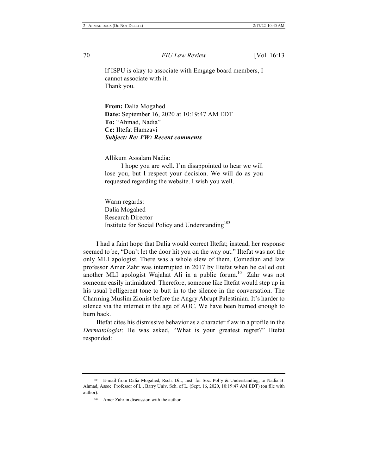If ISPU is okay to associate with Emgage board members, I cannot associate with it. Thank you.

**From:** Dalia Mogahed **Date:** September 16, 2020 at 10:19:47 AM EDT **To:** "Ahmad, Nadia" **Cc:** Iltefat Hamzavi *Subject: Re: FW: Recent comments* 

Allikum Assalam Nadia:

 I hope you are well. I'm disappointed to hear we will lose you, but I respect your decision. We will do as you requested regarding the website. I wish you well.

Warm regards: Dalia Mogahed Research Director Institute for Social Policy and Understanding<sup>103</sup>

I had a faint hope that Dalia would correct Iltefat; instead, her response seemed to be, "Don't let the door hit you on the way out." Iltefat was not the only MLI apologist. There was a whole slew of them. Comedian and law professor Amer Zahr was interrupted in 2017 by Iltefat when he called out another MLI apologist Wajahat Ali in a public forum.<sup>104</sup> Zahr was not someone easily intimidated. Therefore, someone like Iltefat would step up in his usual belligerent tone to butt in to the silence in the conversation. The Charming Muslim Zionist before the Angry Abrupt Palestinian. It's harder to silence via the internet in the age of AOC. We have been burned enough to burn back.

Iltefat cites his dismissive behavior as a character flaw in a profile in the *Dermatologist*: He was asked, "What is your greatest regret?" Iltefat responded:

<sup>103</sup> E-mail from Dalia Mogahed, Rsch. Dir., Inst. for Soc. Pol'y & Understanding, to Nadia B. Ahmad, Assoc. Professor of L., Barry Univ. Sch. of L. (Sept. 16, 2020, 10:19:47 AM EDT) (on file with author).

<sup>104</sup> Amer Zahr in discussion with the author.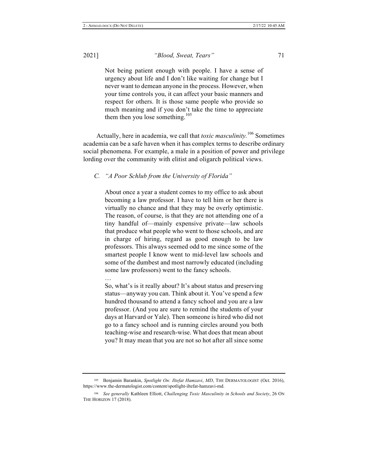…

Not being patient enough with people. I have a sense of urgency about life and I don't like waiting for change but I never want to demean anyone in the process. However, when your time controls you, it can affect your basic manners and respect for others. It is those same people who provide so much meaning and if you don't take the time to appreciate them then you lose something.<sup>105</sup>

Actually, here in academia, we call that *toxic masculinity.*106 Sometimes academia can be a safe haven when it has complex terms to describe ordinary social phenomena. For example, a male in a position of power and privilege lording over the community with elitist and oligarch political views.

*C. "A Poor Schlub from the University of Florida"* 

About once a year a student comes to my office to ask about becoming a law professor. I have to tell him or her there is virtually no chance and that they may be overly optimistic. The reason, of course, is that they are not attending one of a tiny handful of—mainly expensive private—law schools that produce what people who went to those schools, and are in charge of hiring, regard as good enough to be law professors. This always seemed odd to me since some of the smartest people I know went to mid-level law schools and some of the dumbest and most narrowly educated (including some law professors) went to the fancy schools.

So, what's is it really about? It's about status and preserving status—anyway you can. Think about it. You've spend a few hundred thousand to attend a fancy school and you are a law professor. (And you are sure to remind the students of your days at Harvard or Yale). Then someone is hired who did not go to a fancy school and is running circles around you both teaching-wise and research-wise. What does that mean about you? It may mean that you are not so hot after all since some

<sup>105</sup> Benjamin Barankin, *Spotlight On: Iltefat Hamzavi*, *MD*, THE DERMATOLOGIST (Oct. 2016), https://www.the-dermatologist.com/content/spotlight-iltefat-hamzavi-md.

<sup>106</sup> *See generally* Kathleen Elliott, *Challenging Toxic Masculinity in Schools and Society*, 26 ON THE HORIZON 17 (2018).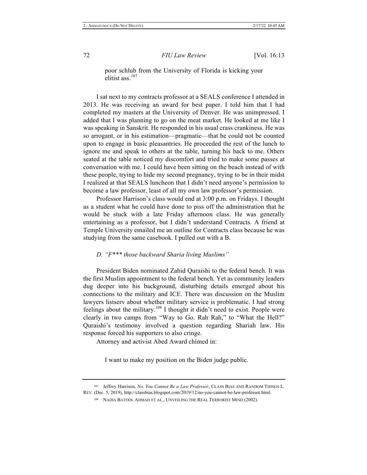poor schlub from the University of Florida is kicking your elitist ass.<sup>107</sup>

I sat next to my contracts professor at a SEALS conference I attended in 2013. He was receiving an award for best paper. I told him that I had completed my masters at the University of Denver. He was unimpressed. I added that I was planning to go on the meat market. He looked at me like I was speaking in Sanskrit. He responded in his usual crass crankiness. He was so arrogant, or in his estimation—pragmatic—that he could not be counted upon to engage in basic pleasantries. He proceeded the rest of the lunch to ignore me and speak to others at the table, turning his back to me. Others seated at the table noticed my discomfort and tried to make some passes at conversation with me. I could have been sitting on the beach instead of with these people, trying to hide my second pregnancy, trying to be in their midst I realized at that SEALS luncheon that I didn't need anyone's permission to become a law professor, least of all my own law professor's permission.

Professor Harrison's class would end at 3:00 p.m. on Fridays. I thought as a student what he could have done to piss off the administration that he would be stuck with a late Friday afternoon class. He was generally entertaining as a professor, but I didn't understand Contracts. A friend at Temple University emailed me an outline for Contracts class because he was studying from the same casebook. I pulled out with a B.

### *D. "F\*\*\* those backward Sharia living Muslims"*

President Biden nominated Zahid Quraishi to the federal bench. It was the first Muslim appointment to the federal bench. Yet as community leaders dug deeper into his background, disturbing details emerged about his connections to the military and ICE. There was discussion on the Muslim lawyers listserv about whether military service is problematic. I had strong feelings about the military.<sup>108</sup> I thought it didn't need to exist. People were clearly in two camps from "Way to Go. Rah Rah," to "What the Hell?" Quraishi's testimony involved a question regarding Shariah law. His response forced his supporters to also cringe.

Attorney and activist Abed Award chimed in:

I want to make my position on the Biden judge public.

<sup>107</sup> Jeffrey Harrison, *No, You Cannot Be a Law Professor*, CLASS BIAS AND RANDOM THINGS L. REV. (Dec. 5, 2019), http://classbias.blogspot.com/2019/12/no-you-cannot-be-law-professor.html.

<sup>108</sup> NADIA BATOOL AHMAD ET AL., UNVEILING THE REAL TERRORIST MIND (2002).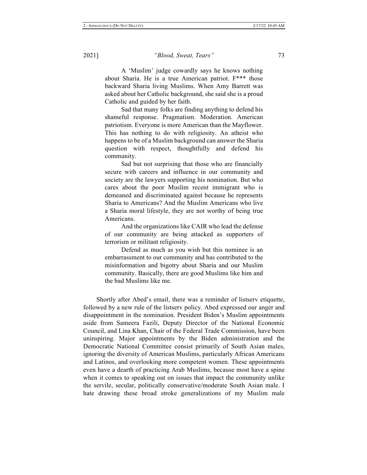A 'Muslim' judge cowardly says he knows nothing about Sharia. He is a true American patriot. F\*\*\* those backward Sharia living Muslims. When Amy Barrett was asked about her Catholic background, she said she is a proud Catholic and guided by her faith.

 Sad that many folks are finding anything to defend his shameful response. Pragmatism. Moderation. American patriotism. Everyone is more American than the Mayflower. This has nothing to do with religiosity. An atheist who happens to be of a Muslim background can answer the Sharia question with respect, thoughtfully and defend his community.

 Sad but not surprising that those who are financially secure with careers and influence in our community and society are the lawyers supporting his nomination. But who cares about the poor Muslim recent immigrant who is demeaned and discriminated against because he represents Sharia to Americans? And the Muslim Americans who live a Sharia moral lifestyle, they are not worthy of being true Americans.

 And the organizations like CAIR who lead the defense of our community are being attacked as supporters of terrorism or militant religiosity.

 Defend as much as you wish but this nominee is an embarrassment to our community and has contributed to the misinformation and bigotry about Sharia and our Muslim community. Basically, there are good Muslims like him and the bad Muslims like me.

Shortly after Abed's email, there was a reminder of listserv etiquette, followed by a new rule of the listserv policy. Abed expressed our anger and disappointment in the nomination. President Biden's Muslim appointments aside from Sameera Fazili, Deputy Director of the National Economic Council, and Lina Khan, Chair of the Federal Trade Commission, have been uninspiring. Major appointments by the Biden administration and the Democratic National Committee consist primarily of South Asian males, ignoring the diversity of American Muslims, particularly African Americans and Latinos, and overlooking more competent women. These appointments even have a dearth of practicing Arab Muslims, because most have a spine when it comes to speaking out on issues that impact the community unlike the servile, secular, politically conservative/moderate South Asian male. I hate drawing these broad stroke generalizations of my Muslim male